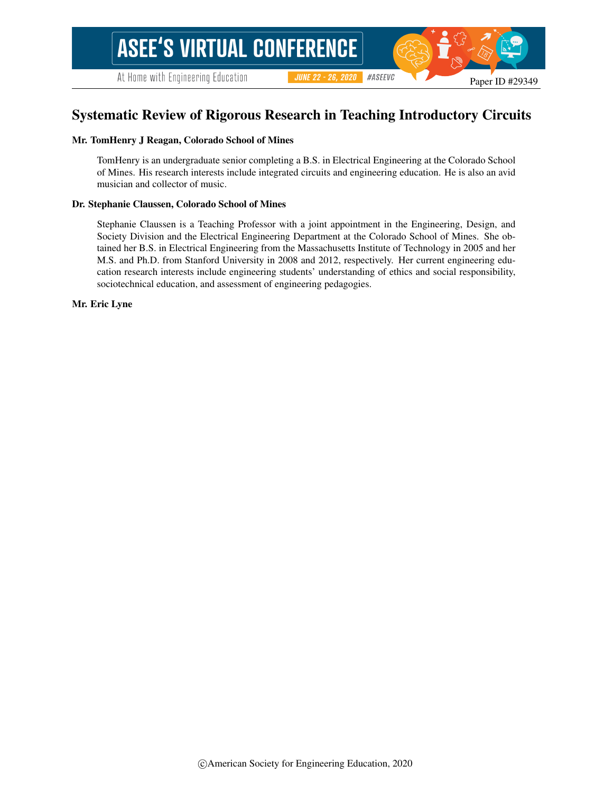At Home with Engineering Education

#ASEEVC **JUNE 22 - 26, 2020** 

## Systematic Review of Rigorous Research in Teaching Introductory Circuits

#### Mr. TomHenry J Reagan, Colorado School of Mines

TomHenry is an undergraduate senior completing a B.S. in Electrical Engineering at the Colorado School of Mines. His research interests include integrated circuits and engineering education. He is also an avid musician and collector of music.

#### Dr. Stephanie Claussen, Colorado School of Mines

Stephanie Claussen is a Teaching Professor with a joint appointment in the Engineering, Design, and Society Division and the Electrical Engineering Department at the Colorado School of Mines. She obtained her B.S. in Electrical Engineering from the Massachusetts Institute of Technology in 2005 and her M.S. and Ph.D. from Stanford University in 2008 and 2012, respectively. Her current engineering education research interests include engineering students' understanding of ethics and social responsibility, sociotechnical education, and assessment of engineering pedagogies.

Mr. Eric Lyne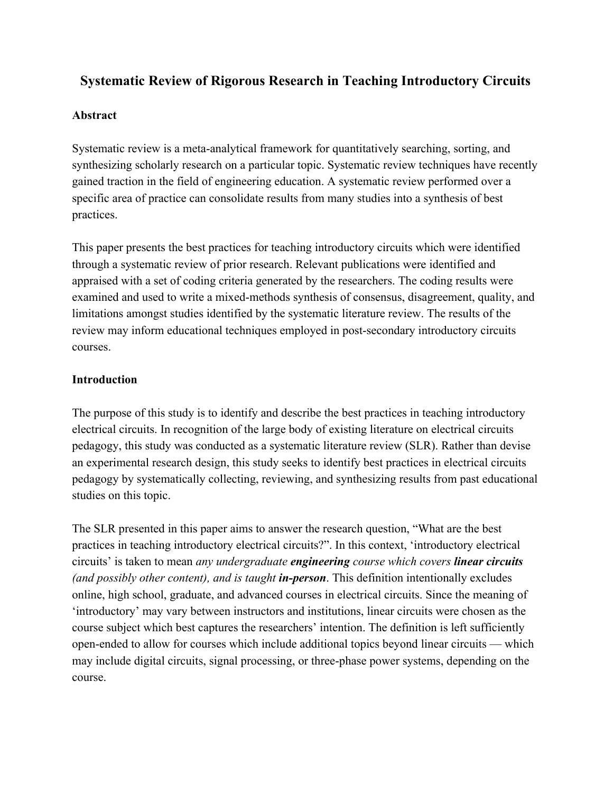## **Systematic Review of Rigorous Research in Teaching Introductory Circuits**

## **Abstract**

Systematic review is a meta-analytical framework for quantitatively searching, sorting, and synthesizing scholarly research on a particular topic. Systematic review techniques have recently gained traction in the field of engineering education. A systematic review performed over a specific area of practice can consolidate results from many studies into a synthesis of best practices.

This paper presents the best practices for teaching introductory circuits which were identified through a systematic review of prior research. Relevant publications were identified and appraised with a set of coding criteria generated by the researchers. The coding results were examined and used to write a mixed-methods synthesis of consensus, disagreement, quality, and limitations amongst studies identified by the systematic literature review. The results of the review may inform educational techniques employed in post-secondary introductory circuits courses.

## **Introduction**

The purpose of this study is to identify and describe the best practices in teaching introductory electrical circuits. In recognition of the large body of existing literature on electrical circuits pedagogy, this study was conducted as a systematic literature review (SLR). Rather than devise an experimental research design, this study seeks to identify best practices in electrical circuits pedagogy by systematically collecting, reviewing, and synthesizing results from past educational studies on this topic.

The SLR presented in this paper aims to answer the research question, "What are the best practices in teaching introductory electrical circuits?". In this context, 'introductory electrical circuits' is taken to mean *any undergraduate engineering course which covers linear circuits (and possibly other content), and is taught in-person*. This definition intentionally excludes online, high school, graduate, and advanced courses in electrical circuits. Since the meaning of 'introductory' may vary between instructors and institutions, linear circuits were chosen as the course subject which best captures the researchers' intention. The definition is left sufficiently open-ended to allow for courses which include additional topics beyond linear circuits — which may include digital circuits, signal processing, or three-phase power systems, depending on the course.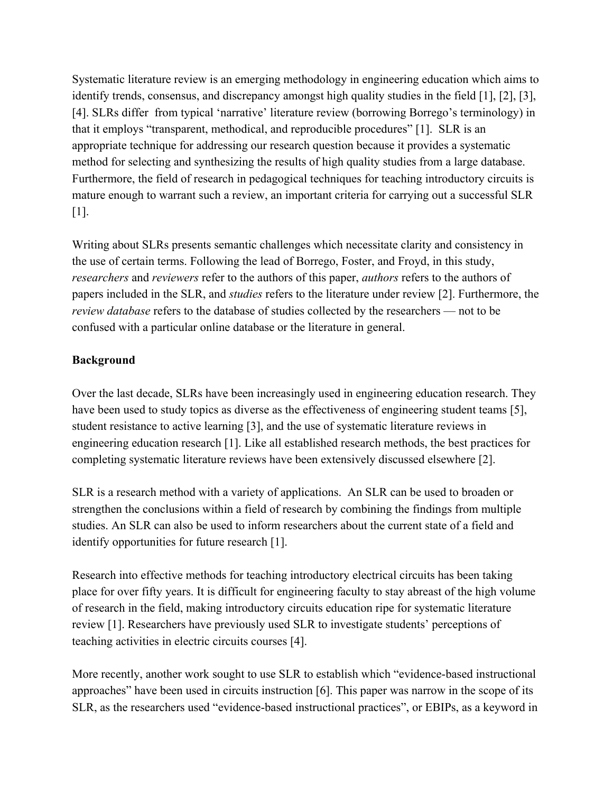Systematic literature review is an emerging methodology in engineering education which aims to identify trends, consensus, and discrepancy amongst high quality studies in the field [1], [2], [3], [4]. SLRs differ from typical 'narrative' literature review (borrowing Borrego's terminology) in that it employs "transparent, methodical, and reproducible procedures" [1]. SLR is an appropriate technique for addressing our research question because it provides a systematic method for selecting and synthesizing the results of high quality studies from a large database. Furthermore, the field of research in pedagogical techniques for teaching introductory circuits is mature enough to warrant such a review, an important criteria for carrying out a successful SLR [1].

Writing about SLRs presents semantic challenges which necessitate clarity and consistency in the use of certain terms. Following the lead of Borrego, Foster, and Froyd, in this study, *researchers* and *reviewers* refer to the authors of this paper, *authors* refers to the authors of papers included in the SLR, and *studies* refers to the literature under review [2]. Furthermore, the *review database* refers to the database of studies collected by the researchers — not to be confused with a particular online database or the literature in general.

## **Background**

Over the last decade, SLRs have been increasingly used in engineering education research. They have been used to study topics as diverse as the effectiveness of engineering student teams [5], student resistance to active learning [3], and the use of systematic literature reviews in engineering education research [1]. Like all established research methods, the best practices for completing systematic literature reviews have been extensively discussed elsewhere [2].

SLR is a research method with a variety of applications. An SLR can be used to broaden or strengthen the conclusions within a field of research by combining the findings from multiple studies. An SLR can also be used to inform researchers about the current state of a field and identify opportunities for future research [1].

Research into effective methods for teaching introductory electrical circuits has been taking place for over fifty years. It is difficult for engineering faculty to stay abreast of the high volume of research in the field, making introductory circuits education ripe for systematic literature review [1]. Researchers have previously used SLR to investigate students' perceptions of teaching activities in electric circuits courses [4].

More recently, another work sought to use SLR to establish which "evidence-based instructional approaches" have been used in circuits instruction [6]. This paper was narrow in the scope of its SLR, as the researchers used "evidence-based instructional practices", or EBIPs, as a keyword in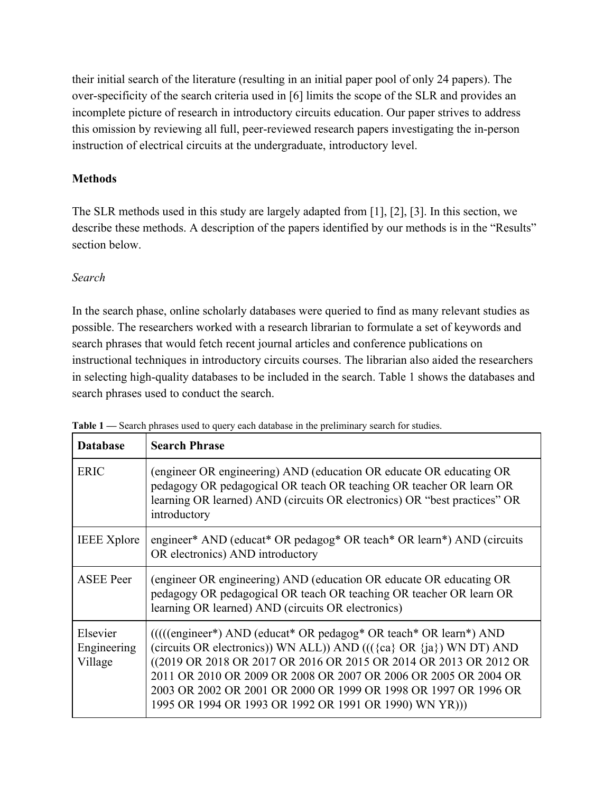their initial search of the literature (resulting in an initial paper pool of only 24 papers). The over-specificity of the search criteria used in [6] limits the scope of the SLR and provides an incomplete picture of research in introductory circuits education. Our paper strives to address this omission by reviewing all full, peer-reviewed research papers investigating the in-person instruction of electrical circuits at the undergraduate, introductory level.

## **Methods**

The SLR methods used in this study are largely adapted from [1], [2], [3]. In this section, we describe these methods. A description of the papers identified by our methods is in the "Results" section below.

## *Search*

In the search phase, online scholarly databases were queried to find as many relevant studies as possible. The researchers worked with a research librarian to formulate a set of keywords and search phrases that would fetch recent journal articles and conference publications on instructional techniques in introductory circuits courses. The librarian also aided the researchers in selecting high-quality databases to be included in the search. Table 1 shows the databases and search phrases used to conduct the search.

| <b>Database</b>                    | <b>Search Phrase</b>                                                                                                                                                                                                                                                                                                                                                                                                         |
|------------------------------------|------------------------------------------------------------------------------------------------------------------------------------------------------------------------------------------------------------------------------------------------------------------------------------------------------------------------------------------------------------------------------------------------------------------------------|
| <b>ERIC</b>                        | (engineer OR engineering) AND (education OR educate OR educating OR<br>pedagogy OR pedagogical OR teach OR teaching OR teacher OR learn OR<br>learning OR learned) AND (circuits OR electronics) OR "best practices" OR<br>introductory                                                                                                                                                                                      |
| <b>IEEE</b> Xplore                 | engineer* AND (educat* OR pedagog* OR teach* OR learn*) AND (circuits<br>OR electronics) AND introductory                                                                                                                                                                                                                                                                                                                    |
| <b>ASEE Peer</b>                   | (engineer OR engineering) AND (education OR educate OR educating OR<br>pedagogy OR pedagogical OR teach OR teaching OR teacher OR learn OR<br>learning OR learned) AND (circuits OR electronics)                                                                                                                                                                                                                             |
| Elsevier<br>Engineering<br>Village | (((((engineer*) AND (educat* OR pedagog* OR teach* OR learn*) AND<br>(circuits OR electronics)) WN ALL)) AND $(((\{ca\} \text{ OR } \{ja\})$ WN DT) AND<br>((2019 OR 2018 OR 2017 OR 2016 OR 2015 OR 2014 OR 2013 OR 2012 OR<br>2011 OR 2010 OR 2009 OR 2008 OR 2007 OR 2006 OR 2005 OR 2004 OR<br>2003 OR 2002 OR 2001 OR 2000 OR 1999 OR 1998 OR 1997 OR 1996 OR<br>1995 OR 1994 OR 1993 OR 1992 OR 1991 OR 1990) WN YR))) |

|  |  |  |  |  | Table 1 — Search phrases used to query each database in the preliminary search for studies. |
|--|--|--|--|--|---------------------------------------------------------------------------------------------|
|--|--|--|--|--|---------------------------------------------------------------------------------------------|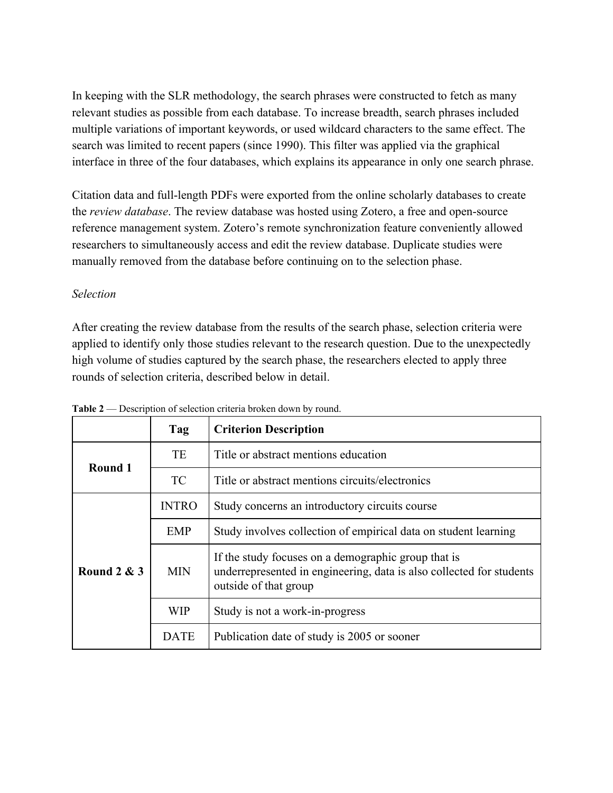In keeping with the SLR methodology, the search phrases were constructed to fetch as many relevant studies as possible from each database. To increase breadth, search phrases included multiple variations of important keywords, or used wildcard characters to the same effect. The search was limited to recent papers (since 1990). This filter was applied via the graphical interface in three of the four databases, which explains its appearance in only one search phrase.

Citation data and full-length PDFs were exported from the online scholarly databases to create the *review database*. The review database was hosted using Zotero, a free and open-source reference management system. Zotero's remote synchronization feature conveniently allowed researchers to simultaneously access and edit the review database. Duplicate studies were manually removed from the database before continuing on to the selection phase.

## *Selection*

After creating the review database from the results of the search phase, selection criteria were applied to identify only those studies relevant to the research question. Due to the unexpectedly high volume of studies captured by the search phase, the researchers elected to apply three rounds of selection criteria, described below in detail.

|               | Tag          | <b>Criterion Description</b>                                                                                                                         |
|---------------|--------------|------------------------------------------------------------------------------------------------------------------------------------------------------|
|               | TE           | Title or abstract mentions education                                                                                                                 |
| Round 1       | TC           | Title or abstract mentions circuits/electronics                                                                                                      |
|               | <b>INTRO</b> | Study concerns an introductory circuits course                                                                                                       |
| Round $2 & 3$ | <b>EMP</b>   | Study involves collection of empirical data on student learning                                                                                      |
|               | <b>MIN</b>   | If the study focuses on a demographic group that is<br>underrepresented in engineering, data is also collected for students<br>outside of that group |
|               | <b>WIP</b>   | Study is not a work-in-progress                                                                                                                      |
|               | DATE         | Publication date of study is 2005 or sooner                                                                                                          |

**Table 2** — Description of selection criteria broken down by round.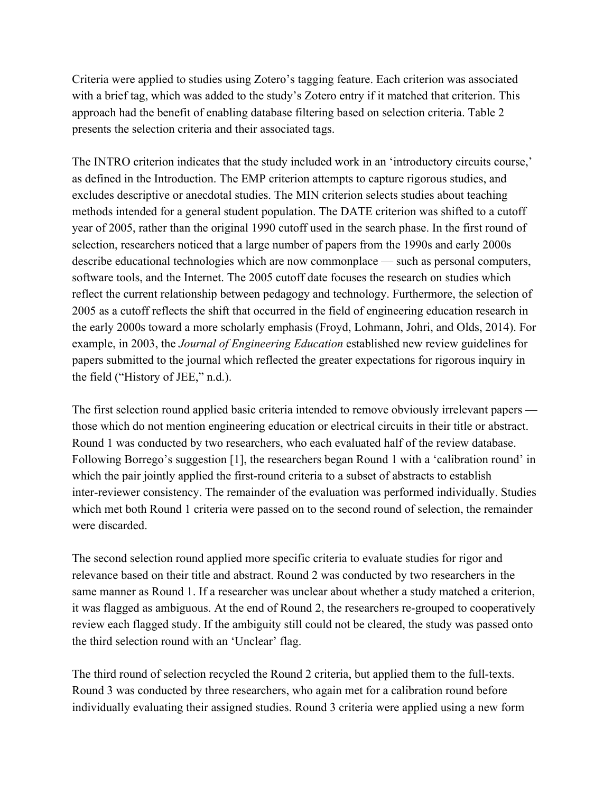Criteria were applied to studies using Zotero's tagging feature. Each criterion was associated with a brief tag, which was added to the study's Zotero entry if it matched that criterion. This approach had the benefit of enabling database filtering based on selection criteria. Table 2 presents the selection criteria and their associated tags.

The INTRO criterion indicates that the study included work in an 'introductory circuits course,' as defined in the Introduction. The EMP criterion attempts to capture rigorous studies, and excludes descriptive or anecdotal studies. The MIN criterion selects studies about teaching methods intended for a general student population. The DATE criterion was shifted to a cutoff year of 2005, rather than the original 1990 cutoff used in the search phase. In the first round of selection, researchers noticed that a large number of papers from the 1990s and early 2000s describe educational technologies which are now commonplace — such as personal computers, software tools, and the Internet. The 2005 cutoff date focuses the research on studies which reflect the current relationship between pedagogy and technology. Furthermore, the selection of 2005 as a cutoff reflects the shift that occurred in the field of engineering education research in the early 2000s toward a more scholarly emphasis (Froyd, Lohmann, Johri, and Olds, 2014). For example, in 2003, the *Journal of Engineering Education* established new review guidelines for papers submitted to the journal which reflected the greater expectations for rigorous inquiry in the field ("History of JEE," n.d.).

The first selection round applied basic criteria intended to remove obviously irrelevant papers those which do not mention engineering education or electrical circuits in their title or abstract. Round 1 was conducted by two researchers, who each evaluated half of the review database. Following Borrego's suggestion [1], the researchers began Round 1 with a 'calibration round' in which the pair jointly applied the first-round criteria to a subset of abstracts to establish inter-reviewer consistency. The remainder of the evaluation was performed individually. Studies which met both Round 1 criteria were passed on to the second round of selection, the remainder were discarded.

The second selection round applied more specific criteria to evaluate studies for rigor and relevance based on their title and abstract. Round 2 was conducted by two researchers in the same manner as Round 1. If a researcher was unclear about whether a study matched a criterion, it was flagged as ambiguous. At the end of Round 2, the researchers re-grouped to cooperatively review each flagged study. If the ambiguity still could not be cleared, the study was passed onto the third selection round with an 'Unclear' flag.

The third round of selection recycled the Round 2 criteria, but applied them to the full-texts. Round 3 was conducted by three researchers, who again met for a calibration round before individually evaluating their assigned studies. Round 3 criteria were applied using a new form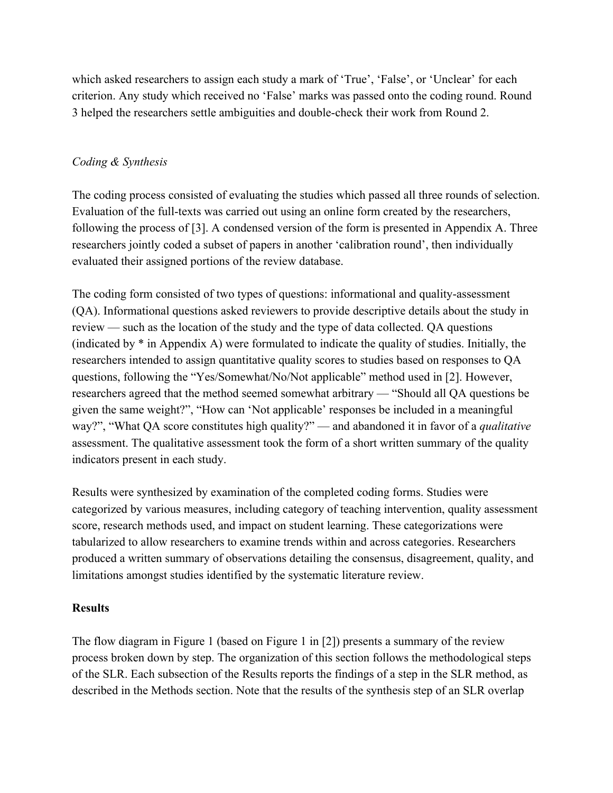which asked researchers to assign each study a mark of 'True', 'False', or 'Unclear' for each criterion. Any study which received no 'False' marks was passed onto the coding round. Round 3 helped the researchers settle ambiguities and double-check their work from Round 2.

## *Coding & Synthesis*

The coding process consisted of evaluating the studies which passed all three rounds of selection. Evaluation of the full-texts was carried out using an online form created by the researchers, following the process of [3]. A condensed version of the form is presented in Appendix A. Three researchers jointly coded a subset of papers in another 'calibration round', then individually evaluated their assigned portions of the review database.

The coding form consisted of two types of questions: informational and quality-assessment (QA). Informational questions asked reviewers to provide descriptive details about the study in review — such as the location of the study and the type of data collected. QA questions (indicated by \* in Appendix A) were formulated to indicate the quality of studies. Initially, the researchers intended to assign quantitative quality scores to studies based on responses to QA questions, following the "Yes/Somewhat/No/Not applicable" method used in [2]. However, researchers agreed that the method seemed somewhat arbitrary — "Should all QA questions be given the same weight?", "How can 'Not applicable' responses be included in a meaningful way?", "What QA score constitutes high quality?" — and abandoned it in favor of a *qualitative* assessment. The qualitative assessment took the form of a short written summary of the quality indicators present in each study.

Results were synthesized by examination of the completed coding forms. Studies were categorized by various measures, including category of teaching intervention, quality assessment score, research methods used, and impact on student learning. These categorizations were tabularized to allow researchers to examine trends within and across categories. Researchers produced a written summary of observations detailing the consensus, disagreement, quality, and limitations amongst studies identified by the systematic literature review.

## **Results**

The flow diagram in Figure 1 (based on Figure 1 in [2]) presents a summary of the review process broken down by step. The organization of this section follows the methodological steps of the SLR. Each subsection of the Results reports the findings of a step in the SLR method, as described in the Methods section. Note that the results of the synthesis step of an SLR overlap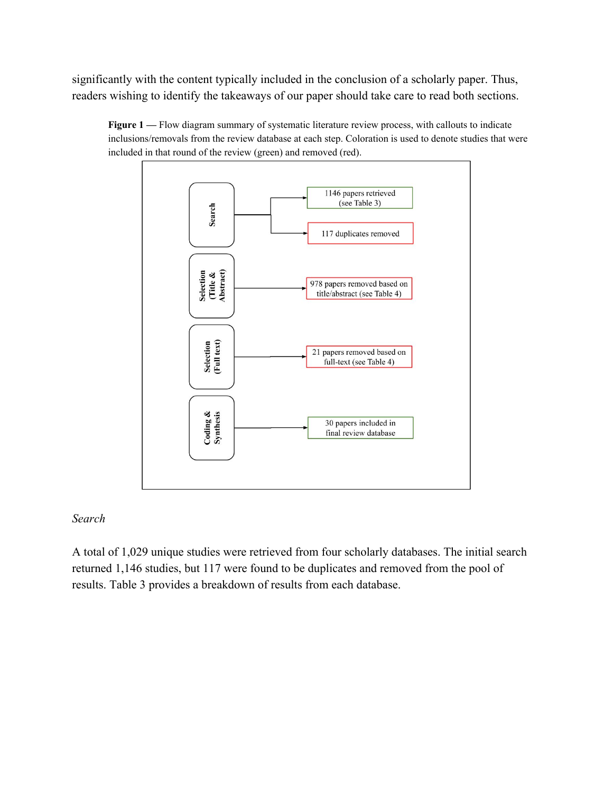significantly with the content typically included in the conclusion of a scholarly paper. Thus, readers wishing to identify the takeaways of our paper should take care to read both sections.





### *Search*

A total of 1,029 unique studies were retrieved from four scholarly databases. The initial search returned 1,146 studies, but 117 were found to be duplicates and removed from the pool of results. Table 3 provides a breakdown of results from each database.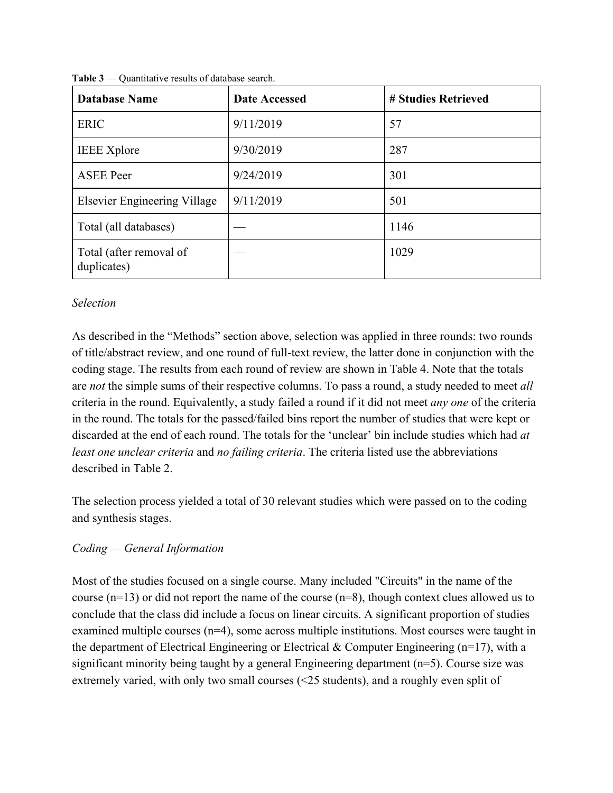| <b>Database Name</b>                   | <b>Date Accessed</b> | # Studies Retrieved |
|----------------------------------------|----------------------|---------------------|
| <b>ERIC</b>                            | 9/11/2019            | 57                  |
| <b>IEEE</b> Xplore                     | 9/30/2019            | 287                 |
| <b>ASEE Peer</b>                       | 9/24/2019            | 301                 |
| <b>Elsevier Engineering Village</b>    | 9/11/2019            | 501                 |
| Total (all databases)                  |                      | 1146                |
| Total (after removal of<br>duplicates) |                      | 1029                |

**Table 3** — Quantitative results of database search.

## *Selection*

As described in the "Methods" section above, selection was applied in three rounds: two rounds of title/abstract review, and one round of full-text review, the latter done in conjunction with the coding stage. The results from each round of review are shown in Table 4. Note that the totals are *not* the simple sums of their respective columns. To pass a round, a study needed to meet *all* criteria in the round. Equivalently, a study failed a round if it did not meet *any one* of the criteria in the round. The totals for the passed/failed bins report the number of studies that were kept or discarded at the end of each round. The totals for the 'unclear' bin include studies which had *at least one unclear criteria* and *no failing criteria*. The criteria listed use the abbreviations described in Table 2.

The selection process yielded a total of 30 relevant studies which were passed on to the coding and synthesis stages.

## *Coding — General Information*

Most of the studies focused on a single course. Many included "Circuits" in the name of the course (n=13) or did not report the name of the course (n=8), though context clues allowed us to conclude that the class did include a focus on linear circuits. A significant proportion of studies examined multiple courses  $(n=4)$ , some across multiple institutions. Most courses were taught in the department of Electrical Engineering or Electrical & Computer Engineering ( $n=17$ ), with a significant minority being taught by a general Engineering department (n=5). Course size was extremely varied, with only two small courses (<25 students), and a roughly even split of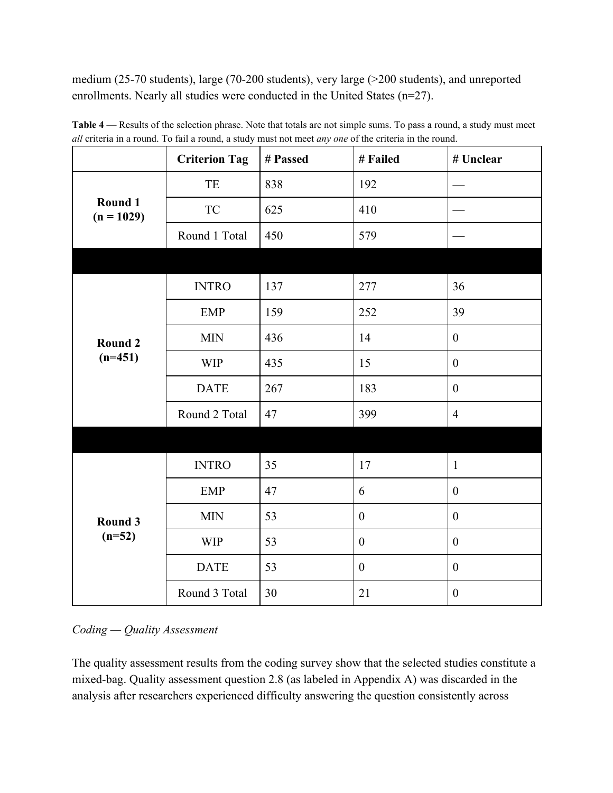medium (25-70 students), large (70-200 students), very large (>200 students), and unreported enrollments. Nearly all studies were conducted in the United States (n=27).

|                         | <b>Criterion Tag</b> | # Passed | # Failed         | # Unclear        |
|-------------------------|----------------------|----------|------------------|------------------|
|                         | TE                   | 838      | 192              |                  |
| Round 1<br>$(n = 1029)$ | <b>TC</b>            | 625      | 410              |                  |
|                         | Round 1 Total        | 450      | 579              |                  |
|                         |                      |          |                  |                  |
|                         | <b>INTRO</b>         | 137      | 277              | 36               |
|                         | <b>EMP</b>           | 159      | 252              | 39               |
| <b>Round 2</b>          | <b>MIN</b>           | 436      | 14               | $\boldsymbol{0}$ |
| $(n=451)$               | <b>WIP</b>           | 435      | 15               | $\boldsymbol{0}$ |
|                         | <b>DATE</b>          | 267      | 183              | $\boldsymbol{0}$ |
|                         | Round 2 Total        | 47       | 399              | $\overline{4}$   |
|                         |                      |          |                  |                  |
|                         | <b>INTRO</b>         | 35       | 17               | $\mathbf{1}$     |
|                         | <b>EMP</b>           | 47       | 6                | $\boldsymbol{0}$ |
| Round 3                 | <b>MIN</b>           | 53       | $\boldsymbol{0}$ | $\boldsymbol{0}$ |
| $(n=52)$                | <b>WIP</b>           | 53       | $\boldsymbol{0}$ | $\boldsymbol{0}$ |
|                         | <b>DATE</b>          | 53       | $\boldsymbol{0}$ | $\boldsymbol{0}$ |
|                         | Round 3 Total        | 30       | 21               | $\boldsymbol{0}$ |

**Table 4** — Results of the selection phrase. Note that totals are not simple sums. To pass a round, a study must meet *all* criteria in a round. To fail a round, a study must not meet *any one* of the criteria in the round.

## *Coding — Quality Assessment*

The quality assessment results from the coding survey show that the selected studies constitute a mixed-bag. Quality assessment question 2.8 (as labeled in Appendix A) was discarded in the analysis after researchers experienced difficulty answering the question consistently across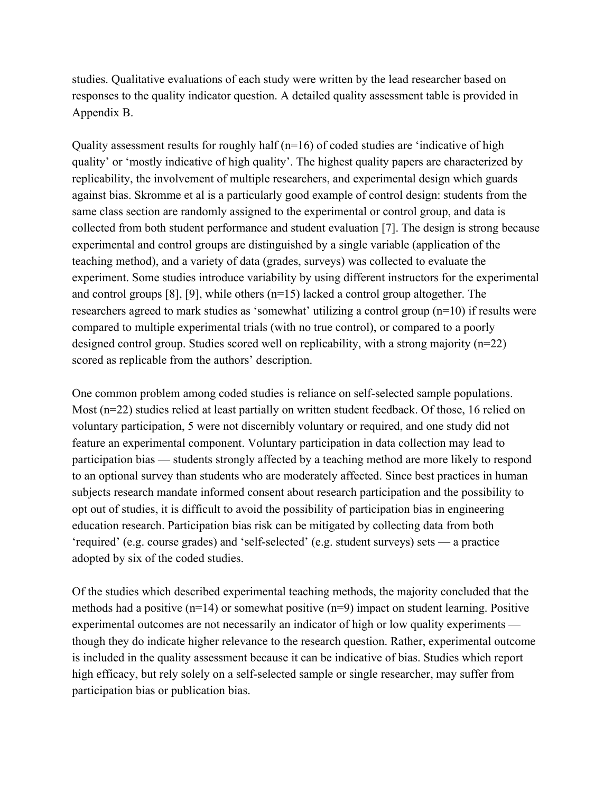studies. Qualitative evaluations of each study were written by the lead researcher based on responses to the quality indicator question. A detailed quality assessment table is provided in Appendix B.

Quality assessment results for roughly half  $(n=16)$  of coded studies are 'indicative of high quality' or 'mostly indicative of high quality'. The highest quality papers are characterized by replicability, the involvement of multiple researchers, and experimental design which guards against bias. Skromme et al is a particularly good example of control design: students from the same class section are randomly assigned to the experimental or control group, and data is collected from both student performance and student evaluation [7]. The design is strong because experimental and control groups are distinguished by a single variable (application of the teaching method), and a variety of data (grades, surveys) was collected to evaluate the experiment. Some studies introduce variability by using different instructors for the experimental and control groups [8], [9], while others (n=15) lacked a control group altogether. The researchers agreed to mark studies as 'somewhat' utilizing a control group (n=10) if results were compared to multiple experimental trials (with no true control), or compared to a poorly designed control group. Studies scored well on replicability, with a strong majority  $(n=22)$ scored as replicable from the authors' description.

One common problem among coded studies is reliance on self-selected sample populations. Most (n=22) studies relied at least partially on written student feedback. Of those, 16 relied on voluntary participation, 5 were not discernibly voluntary or required, and one study did not feature an experimental component. Voluntary participation in data collection may lead to participation bias — students strongly affected by a teaching method are more likely to respond to an optional survey than students who are moderately affected. Since best practices in human subjects research mandate informed consent about research participation and the possibility to opt out of studies, it is difficult to avoid the possibility of participation bias in engineering education research. Participation bias risk can be mitigated by collecting data from both 'required' (e.g. course grades) and 'self-selected' (e.g. student surveys) sets — a practice adopted by six of the coded studies.

Of the studies which described experimental teaching methods, the majority concluded that the methods had a positive (n=14) or somewhat positive (n=9) impact on student learning. Positive experimental outcomes are not necessarily an indicator of high or low quality experiments though they do indicate higher relevance to the research question. Rather, experimental outcome is included in the quality assessment because it can be indicative of bias. Studies which report high efficacy, but rely solely on a self-selected sample or single researcher, may suffer from participation bias or publication bias.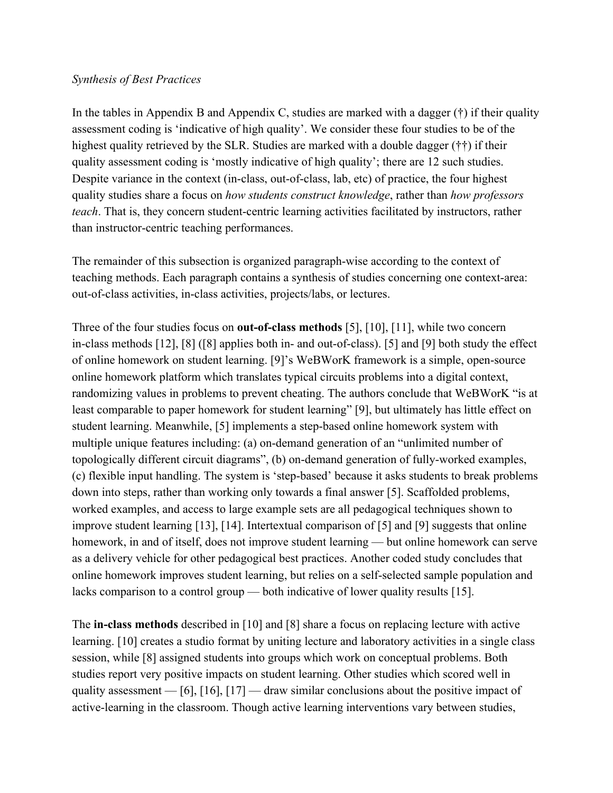### *Synthesis of Best Practices*

In the tables in Appendix B and Appendix C, studies are marked with a dagger (†) if their quality assessment coding is 'indicative of high quality'. We consider these four studies to be of the highest quality retrieved by the SLR. Studies are marked with a double dagger (††) if their quality assessment coding is 'mostly indicative of high quality'; there are 12 such studies. Despite variance in the context (in-class, out-of-class, lab, etc) of practice, the four highest quality studies share a focus on *how students construct knowledge*, rather than *how professors teach*. That is, they concern student-centric learning activities facilitated by instructors, rather than instructor-centric teaching performances.

The remainder of this subsection is organized paragraph-wise according to the context of teaching methods. Each paragraph contains a synthesis of studies concerning one context-area: out-of-class activities, in-class activities, projects/labs, or lectures.

Three of the four studies focus on **out-of-class methods** [5], [10], [11], while two concern in-class methods [12], [8] ([8] applies both in- and out-of-class). [5] and [9] both study the effect of online homework on student learning. [9]'s WeBWorK framework is a simple, open-source online homework platform which translates typical circuits problems into a digital context, randomizing values in problems to prevent cheating. The authors conclude that WeBWorK "is at least comparable to paper homework for student learning" [9], but ultimately has little effect on student learning. Meanwhile, [5] implements a step-based online homework system with multiple unique features including: (a) on-demand generation of an "unlimited number of topologically different circuit diagrams", (b) on-demand generation of fully-worked examples, (c) flexible input handling. The system is 'step-based' because it asks students to break problems down into steps, rather than working only towards a final answer [5]. Scaffolded problems, worked examples, and access to large example sets are all pedagogical techniques shown to improve student learning [13], [14]. Intertextual comparison of [5] and [9] suggests that online homework, in and of itself, does not improve student learning — but online homework can serve as a delivery vehicle for other pedagogical best practices. Another coded study concludes that online homework improves student learning, but relies on a self-selected sample population and lacks comparison to a control group — both indicative of lower quality results [15].

The **in-class methods** described in [10] and [8] share a focus on replacing lecture with active learning. [10] creates a studio format by uniting lecture and laboratory activities in a single class session, while [8] assigned students into groups which work on conceptual problems. Both studies report very positive impacts on student learning. Other studies which scored well in quality assessment  $-$  [6], [16], [17]  $-$  draw similar conclusions about the positive impact of active-learning in the classroom. Though active learning interventions vary between studies,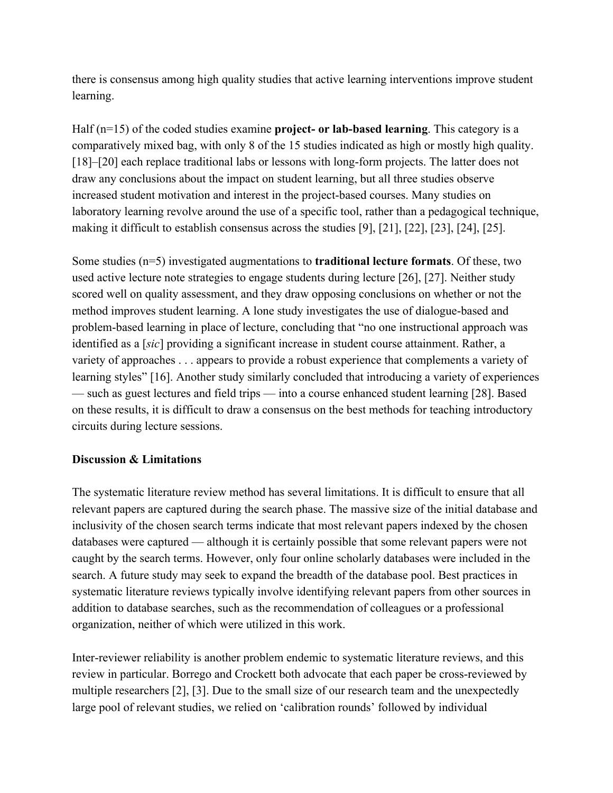there is consensus among high quality studies that active learning interventions improve student learning.

Half (n=15) of the coded studies examine **project- or lab-based learning**. This category is a comparatively mixed bag, with only 8 of the 15 studies indicated as high or mostly high quality. [18]–[20] each replace traditional labs or lessons with long-form projects. The latter does not draw any conclusions about the impact on student learning, but all three studies observe increased student motivation and interest in the project-based courses. Many studies on laboratory learning revolve around the use of a specific tool, rather than a pedagogical technique, making it difficult to establish consensus across the studies [9], [21], [22], [23], [24], [25].

Some studies (n=5) investigated augmentations to **traditional lecture formats**. Of these, two used active lecture note strategies to engage students during lecture [26], [27]. Neither study scored well on quality assessment, and they draw opposing conclusions on whether or not the method improves student learning. A lone study investigates the use of dialogue-based and problem-based learning in place of lecture, concluding that "no one instructional approach was identified as a [*sic*] providing a significant increase in student course attainment. Rather, a variety of approaches . . . appears to provide a robust experience that complements a variety of learning styles" [16]. Another study similarly concluded that introducing a variety of experiences — such as guest lectures and field trips — into a course enhanced student learning [28]. Based on these results, it is difficult to draw a consensus on the best methods for teaching introductory circuits during lecture sessions.

### **Discussion & Limitations**

The systematic literature review method has several limitations. It is difficult to ensure that all relevant papers are captured during the search phase. The massive size of the initial database and inclusivity of the chosen search terms indicate that most relevant papers indexed by the chosen databases were captured — although it is certainly possible that some relevant papers were not caught by the search terms. However, only four online scholarly databases were included in the search. A future study may seek to expand the breadth of the database pool. Best practices in systematic literature reviews typically involve identifying relevant papers from other sources in addition to database searches, such as the recommendation of colleagues or a professional organization, neither of which were utilized in this work.

Inter-reviewer reliability is another problem endemic to systematic literature reviews, and this review in particular. Borrego and Crockett both advocate that each paper be cross-reviewed by multiple researchers [2], [3]. Due to the small size of our research team and the unexpectedly large pool of relevant studies, we relied on 'calibration rounds' followed by individual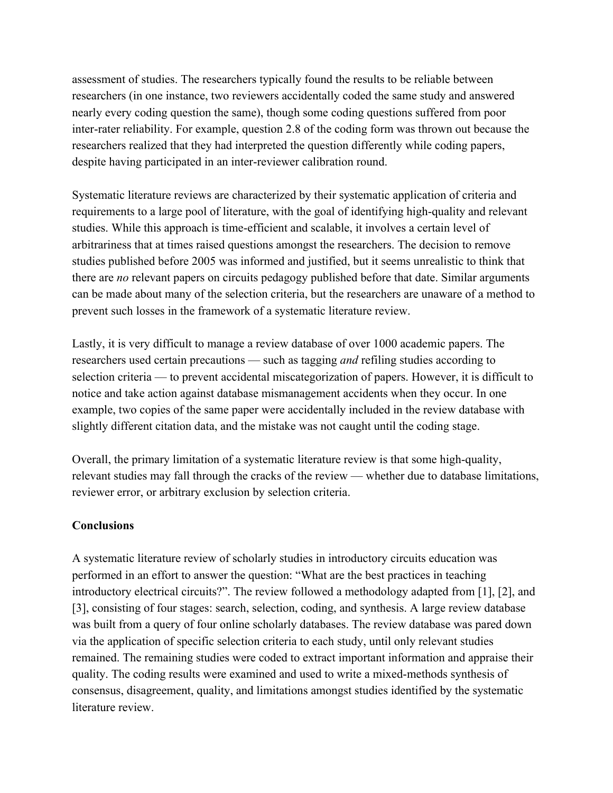assessment of studies. The researchers typically found the results to be reliable between researchers (in one instance, two reviewers accidentally coded the same study and answered nearly every coding question the same), though some coding questions suffered from poor inter-rater reliability. For example, question 2.8 of the coding form was thrown out because the researchers realized that they had interpreted the question differently while coding papers, despite having participated in an inter-reviewer calibration round.

Systematic literature reviews are characterized by their systematic application of criteria and requirements to a large pool of literature, with the goal of identifying high-quality and relevant studies. While this approach is time-efficient and scalable, it involves a certain level of arbitrariness that at times raised questions amongst the researchers. The decision to remove studies published before 2005 was informed and justified, but it seems unrealistic to think that there are *no* relevant papers on circuits pedagogy published before that date. Similar arguments can be made about many of the selection criteria, but the researchers are unaware of a method to prevent such losses in the framework of a systematic literature review.

Lastly, it is very difficult to manage a review database of over 1000 academic papers. The researchers used certain precautions — such as tagging *and* refiling studies according to selection criteria — to prevent accidental miscategorization of papers. However, it is difficult to notice and take action against database mismanagement accidents when they occur. In one example, two copies of the same paper were accidentally included in the review database with slightly different citation data, and the mistake was not caught until the coding stage.

Overall, the primary limitation of a systematic literature review is that some high-quality, relevant studies may fall through the cracks of the review — whether due to database limitations, reviewer error, or arbitrary exclusion by selection criteria.

## **Conclusions**

A systematic literature review of scholarly studies in introductory circuits education was performed in an effort to answer the question: "What are the best practices in teaching introductory electrical circuits?". The review followed a methodology adapted from [1], [2], and [3], consisting of four stages: search, selection, coding, and synthesis. A large review database was built from a query of four online scholarly databases. The review database was pared down via the application of specific selection criteria to each study, until only relevant studies remained. The remaining studies were coded to extract important information and appraise their quality. The coding results were examined and used to write a mixed-methods synthesis of consensus, disagreement, quality, and limitations amongst studies identified by the systematic literature review.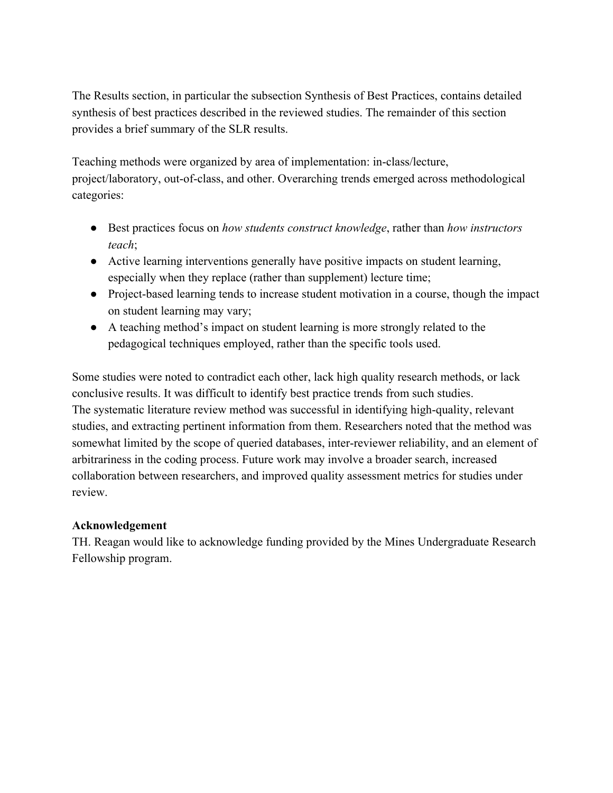The Results section, in particular the subsection Synthesis of Best Practices, contains detailed synthesis of best practices described in the reviewed studies. The remainder of this section provides a brief summary of the SLR results.

Teaching methods were organized by area of implementation: in-class/lecture, project/laboratory, out-of-class, and other. Overarching trends emerged across methodological categories:

- Best practices focus on *how students construct knowledge*, rather than *how instructors teach*;
- Active learning interventions generally have positive impacts on student learning, especially when they replace (rather than supplement) lecture time;
- Project-based learning tends to increase student motivation in a course, though the impact on student learning may vary;
- A teaching method's impact on student learning is more strongly related to the pedagogical techniques employed, rather than the specific tools used.

Some studies were noted to contradict each other, lack high quality research methods, or lack conclusive results. It was difficult to identify best practice trends from such studies. The systematic literature review method was successful in identifying high-quality, relevant studies, and extracting pertinent information from them. Researchers noted that the method was somewhat limited by the scope of queried databases, inter-reviewer reliability, and an element of arbitrariness in the coding process. Future work may involve a broader search, increased collaboration between researchers, and improved quality assessment metrics for studies under review.

## **Acknowledgement**

TH. Reagan would like to acknowledge funding provided by the Mines Undergraduate Research Fellowship program.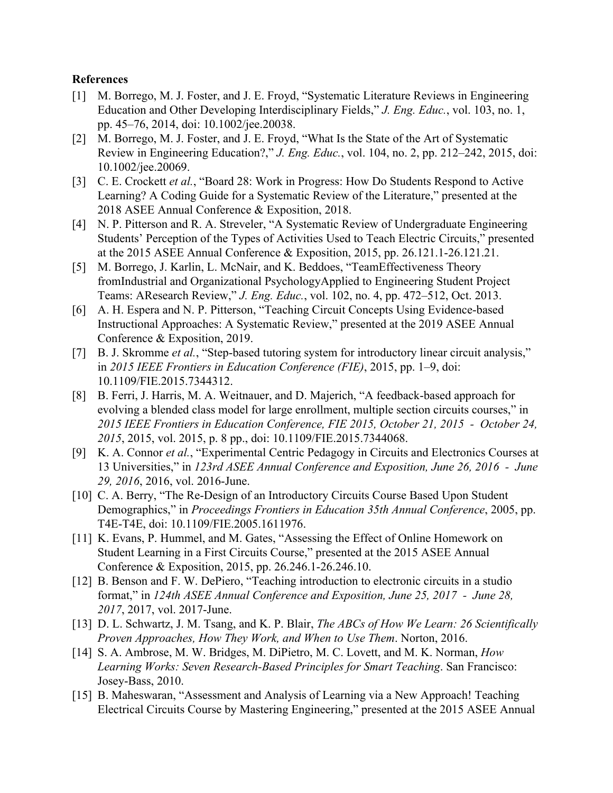### **References**

- [1] M. Borrego, M. J. Foster, and J. E. Froyd, "Systematic Literature Reviews in Engineering Education and Other Developing Interdisciplinary Fields," *J. Eng. Educ.*, vol. 103, no. 1, pp. 45–76, 2014, doi: 10.1002/jee.20038.
- [2] M. Borrego, M. J. Foster, and J. E. Froyd, "What Is the State of the Art of Systematic Review in Engineering Education?," *J. Eng. Educ.*, vol. 104, no. 2, pp. 212–242, 2015, doi: 10.1002/jee.20069.
- [3] C. E. Crockett *et al.*, "Board 28: Work in Progress: How Do Students Respond to Active Learning? A Coding Guide for a Systematic Review of the Literature," presented at the 2018 ASEE Annual Conference & Exposition, 2018.
- [4] N. P. Pitterson and R. A. Streveler, "A Systematic Review of Undergraduate Engineering Students' Perception of the Types of Activities Used to Teach Electric Circuits," presented at the 2015 ASEE Annual Conference & Exposition, 2015, pp. 26.121.1-26.121.21.
- [5] M. Borrego, J. Karlin, L. McNair, and K. Beddoes, "TeamEffectiveness Theory fromIndustrial and Organizational PsychologyApplied to Engineering Student Project Teams: AResearch Review," *J. Eng. Educ.*, vol. 102, no. 4, pp. 472–512, Oct. 2013.
- [6] A. H. Espera and N. P. Pitterson, "Teaching Circuit Concepts Using Evidence-based Instructional Approaches: A Systematic Review," presented at the 2019 ASEE Annual Conference & Exposition, 2019.
- [7] B. J. Skromme *et al.*, "Step-based tutoring system for introductory linear circuit analysis," in *2015 IEEE Frontiers in Education Conference (FIE)*, 2015, pp. 1–9, doi: 10.1109/FIE.2015.7344312.
- [8] B. Ferri, J. Harris, M. A. Weitnauer, and D. Majerich, "A feedback-based approach for evolving a blended class model for large enrollment, multiple section circuits courses," in *2015 IEEE Frontiers in Education Conference, FIE 2015, October 21, 2015 - October 24, 2015*, 2015, vol. 2015, p. 8 pp., doi: 10.1109/FIE.2015.7344068.
- [9] K. A. Connor *et al.*, "Experimental Centric Pedagogy in Circuits and Electronics Courses at 13 Universities," in *123rd ASEE Annual Conference and Exposition, June 26, 2016 - June 29, 2016*, 2016, vol. 2016-June.
- [10] C. A. Berry, "The Re-Design of an Introductory Circuits Course Based Upon Student Demographics," in *Proceedings Frontiers in Education 35th Annual Conference*, 2005, pp. T4E-T4E, doi: 10.1109/FIE.2005.1611976.
- [11] K. Evans, P. Hummel, and M. Gates, "Assessing the Effect of Online Homework on Student Learning in a First Circuits Course," presented at the 2015 ASEE Annual Conference & Exposition, 2015, pp. 26.246.1-26.246.10.
- [12] B. Benson and F. W. DePiero, "Teaching introduction to electronic circuits in a studio format," in *124th ASEE Annual Conference and Exposition, June 25, 2017 - June 28, 2017*, 2017, vol. 2017-June.
- [13] D. L. Schwartz, J. M. Tsang, and K. P. Blair, *The ABCs of How We Learn: 26 Scientifically Proven Approaches, How They Work, and When to Use Them*. Norton, 2016.
- [14] S. A. Ambrose, M. W. Bridges, M. DiPietro, M. C. Lovett, and M. K. Norman, *How Learning Works: Seven Research-Based Principles for Smart Teaching*. San Francisco: Josey-Bass, 2010.
- [15] B. Maheswaran, "Assessment and Analysis of Learning via a New Approach! Teaching Electrical Circuits Course by Mastering Engineering," presented at the 2015 ASEE Annual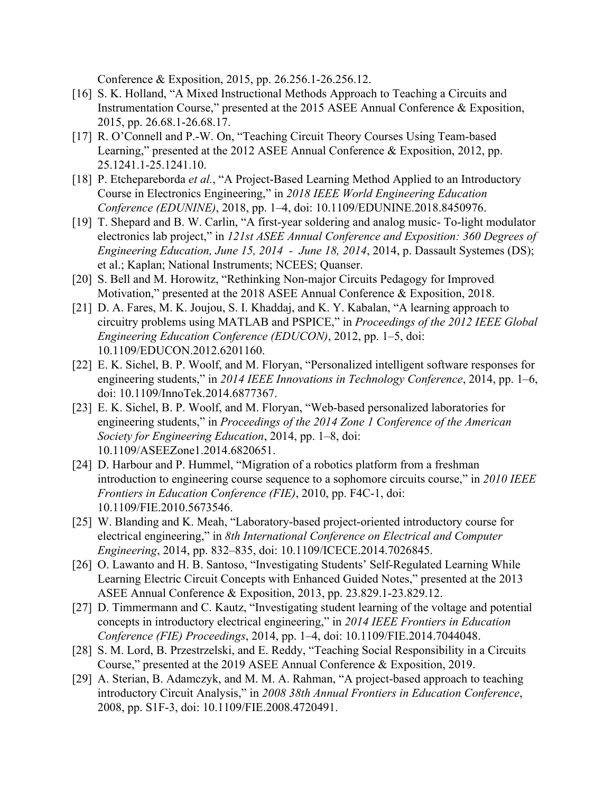Conference & Exposition, 2015, pp. 26.256.1-26.256.12.

- [16] S. K. Holland, "A Mixed Instructional Methods Approach to Teaching a Circuits and Instrumentation Course," presented at the 2015 ASEE Annual Conference & Exposition, 2015, pp. 26.68.1-26.68.17.
- [17] R. O'Connell and P.-W. On, "Teaching Circuit Theory Courses Using Team-based Learning," presented at the 2012 ASEE Annual Conference & Exposition, 2012, pp. 25.1241.1-25.1241.10.
- [18] P. Etchepareborda *et al.*, "A Project-Based Learning Method Applied to an Introductory Course in Electronics Engineering," in *2018 IEEE World Engineering Education Conference (EDUNINE)*, 2018, pp. 1–4, doi: 10.1109/EDUNINE.2018.8450976.
- [19] T. Shepard and B. W. Carlin, "A first-year soldering and analog music- To-light modulator electronics lab project," in *121st ASEE Annual Conference and Exposition: 360 Degrees of Engineering Education, June 15, 2014 - June 18, 2014*, 2014, p. Dassault Systemes (DS); et al.; Kaplan; National Instruments; NCEES; Quanser.
- [20] S. Bell and M. Horowitz, "Rethinking Non-major Circuits Pedagogy for Improved Motivation," presented at the 2018 ASEE Annual Conference & Exposition, 2018.
- [21] D. A. Fares, M. K. Joujou, S. I. Khaddaj, and K. Y. Kabalan, "A learning approach to circuitry problems using MATLAB and PSPICE," in *Proceedings of the 2012 IEEE Global Engineering Education Conference (EDUCON)*, 2012, pp. 1–5, doi: 10.1109/EDUCON.2012.6201160.
- [22] E. K. Sichel, B. P. Woolf, and M. Floryan, "Personalized intelligent software responses for engineering students," in *2014 IEEE Innovations in Technology Conference*, 2014, pp. 1–6, doi: 10.1109/InnoTek.2014.6877367.
- [23] E. K. Sichel, B. P. Woolf, and M. Floryan, "Web-based personalized laboratories for engineering students," in *Proceedings of the 2014 Zone 1 Conference of the American Society for Engineering Education*, 2014, pp. 1–8, doi: 10.1109/ASEEZone1.2014.6820651.
- [24] D. Harbour and P. Hummel, "Migration of a robotics platform from a freshman introduction to engineering course sequence to a sophomore circuits course," in *2010 IEEE Frontiers in Education Conference (FIE)*, 2010, pp. F4C-1, doi: 10.1109/FIE.2010.5673546.
- [25] W. Blanding and K. Meah, "Laboratory-based project-oriented introductory course for electrical engineering," in *8th International Conference on Electrical and Computer Engineering*, 2014, pp. 832–835, doi: 10.1109/ICECE.2014.7026845.
- [26] O. Lawanto and H. B. Santoso, "Investigating Students' Self-Regulated Learning While Learning Electric Circuit Concepts with Enhanced Guided Notes," presented at the 2013 ASEE Annual Conference & Exposition, 2013, pp. 23.829.1-23.829.12.
- [27] D. Timmermann and C. Kautz, "Investigating student learning of the voltage and potential concepts in introductory electrical engineering," in *2014 IEEE Frontiers in Education Conference (FIE) Proceedings*, 2014, pp. 1–4, doi: 10.1109/FIE.2014.7044048.
- [28] S. M. Lord, B. Przestrzelski, and E. Reddy, "Teaching Social Responsibility in a Circuits Course," presented at the 2019 ASEE Annual Conference & Exposition, 2019.
- [29] A. Sterian, B. Adamczyk, and M. M. A. Rahman, "A project-based approach to teaching introductory Circuit Analysis," in *2008 38th Annual Frontiers in Education Conference*, 2008, pp. S1F-3, doi: 10.1109/FIE.2008.4720491.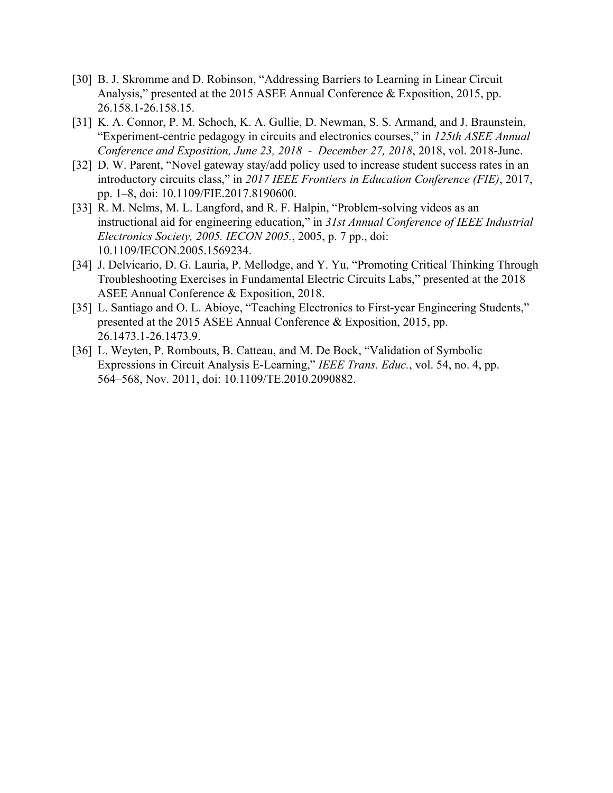- [30] B. J. Skromme and D. Robinson, "Addressing Barriers to Learning in Linear Circuit Analysis," presented at the 2015 ASEE Annual Conference & Exposition, 2015, pp. 26.158.1-26.158.15.
- [31] K. A. Connor, P. M. Schoch, K. A. Gullie, D. Newman, S. S. Armand, and J. Braunstein, "Experiment-centric pedagogy in circuits and electronics courses," in *125th ASEE Annual Conference and Exposition, June 23, 2018 - December 27, 2018*, 2018, vol. 2018-June.
- [32] D. W. Parent, "Novel gateway stay/add policy used to increase student success rates in an introductory circuits class," in *2017 IEEE Frontiers in Education Conference (FIE)*, 2017, pp. 1–8, doi: 10.1109/FIE.2017.8190600.
- [33] R. M. Nelms, M. L. Langford, and R. F. Halpin, "Problem-solving videos as an instructional aid for engineering education," in *31st Annual Conference of IEEE Industrial Electronics Society, 2005. IECON 2005.*, 2005, p. 7 pp., doi: 10.1109/IECON.2005.1569234.
- [34] J. Delvicario, D. G. Lauria, P. Mellodge, and Y. Yu, "Promoting Critical Thinking Through Troubleshooting Exercises in Fundamental Electric Circuits Labs," presented at the 2018 ASEE Annual Conference & Exposition, 2018.
- [35] L. Santiago and O. L. Abioye, "Teaching Electronics to First-year Engineering Students," presented at the 2015 ASEE Annual Conference & Exposition, 2015, pp. 26.1473.1-26.1473.9.
- [36] L. Weyten, P. Rombouts, B. Catteau, and M. De Bock, "Validation of Symbolic Expressions in Circuit Analysis E-Learning," *IEEE Trans. Educ.*, vol. 54, no. 4, pp. 564–568, Nov. 2011, doi: 10.1109/TE.2010.2090882.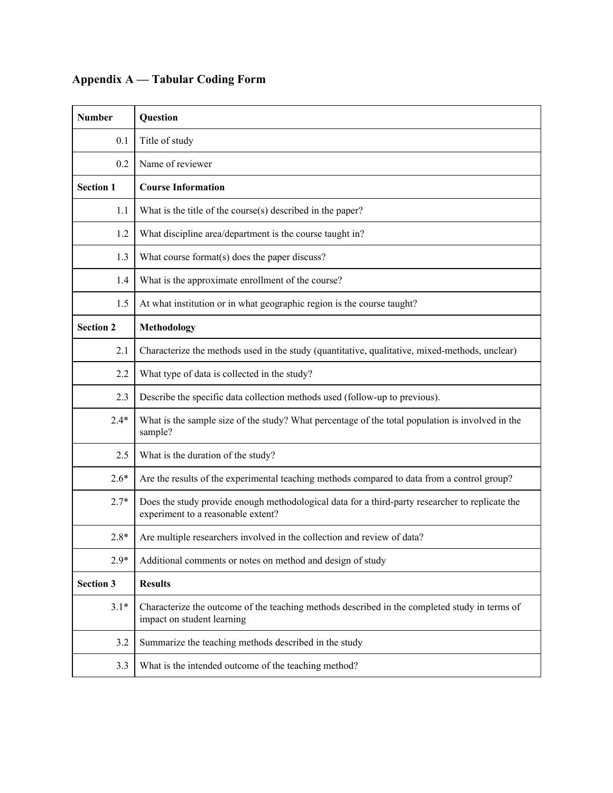| <b>Number</b>    | Question                                                                                                                              |
|------------------|---------------------------------------------------------------------------------------------------------------------------------------|
| 0.1              | Title of study                                                                                                                        |
| 0.2              | Name of reviewer                                                                                                                      |
| <b>Section 1</b> | <b>Course Information</b>                                                                                                             |
| 1.1              | What is the title of the course(s) described in the paper?                                                                            |
| 1.2              | What discipline area/department is the course taught in?                                                                              |
| 1.3              | What course format(s) does the paper discuss?                                                                                         |
| 1.4              | What is the approximate enrollment of the course?                                                                                     |
| 1.5              | At what institution or in what geographic region is the course taught?                                                                |
| <b>Section 2</b> | <b>Methodology</b>                                                                                                                    |
| 2.1              | Characterize the methods used in the study (quantitative, qualitative, mixed-methods, unclear)                                        |
| 2.2              | What type of data is collected in the study?                                                                                          |
| 2.3              | Describe the specific data collection methods used (follow-up to previous).                                                           |
| $2.4*$           | What is the sample size of the study? What percentage of the total population is involved in the<br>sample?                           |
| 2.5              | What is the duration of the study?                                                                                                    |
| $2.6*$           | Are the results of the experimental teaching methods compared to data from a control group?                                           |
| $2.7*$           | Does the study provide enough methodological data for a third-party researcher to replicate the<br>experiment to a reasonable extent? |
| $2.8*$           | Are multiple researchers involved in the collection and review of data?                                                               |
| $2.9*$           | Additional comments or notes on method and design of study                                                                            |
| <b>Section 3</b> | <b>Results</b>                                                                                                                        |
| $3.1*$           | Characterize the outcome of the teaching methods described in the completed study in terms of<br>impact on student learning           |
| 3.2              | Summarize the teaching methods described in the study                                                                                 |
| 3.3              | What is the intended outcome of the teaching method?                                                                                  |

# **Appendix A — Tabular Coding Form**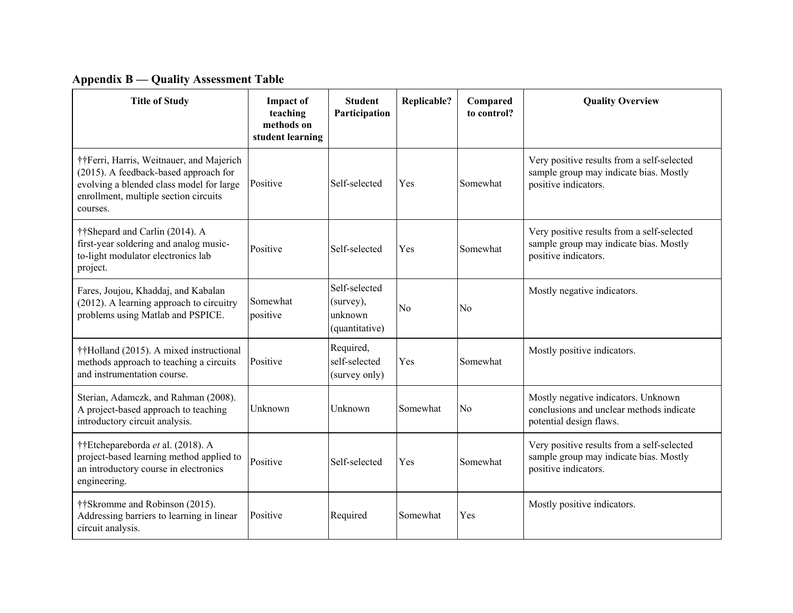**Appendix B — Quality Assessment Table**

| <b>Title of Study</b>                                                                                                                                                              | <b>Impact of</b><br>teaching<br>methods on<br>student learning | <b>Student</b><br>Participation                         | Replicable? | Compared<br>to control? | <b>Quality Overview</b>                                                                                      |
|------------------------------------------------------------------------------------------------------------------------------------------------------------------------------------|----------------------------------------------------------------|---------------------------------------------------------|-------------|-------------------------|--------------------------------------------------------------------------------------------------------------|
| ††Ferri, Harris, Weitnauer, and Majerich<br>(2015). A feedback-based approach for<br>evolving a blended class model for large<br>enrollment, multiple section circuits<br>courses. | Positive                                                       | Self-selected                                           | <b>Yes</b>  | Somewhat                | Very positive results from a self-selected<br>sample group may indicate bias. Mostly<br>positive indicators. |
| ††Shepard and Carlin (2014). A<br>first-year soldering and analog music-<br>to-light modulator electronics lab<br>project.                                                         | Positive                                                       | Self-selected                                           | Yes         | Somewhat                | Very positive results from a self-selected<br>sample group may indicate bias. Mostly<br>positive indicators. |
| Fares, Joujou, Khaddaj, and Kabalan<br>(2012). A learning approach to circuitry<br>problems using Matlab and PSPICE.                                                               | Somewhat<br>positive                                           | Self-selected<br>(survey),<br>unknown<br>(quantitative) | No          | N <sub>0</sub>          | Mostly negative indicators.                                                                                  |
| ††Holland (2015). A mixed instructional<br>methods approach to teaching a circuits<br>and instrumentation course.                                                                  | Positive                                                       | Required,<br>self-selected<br>(survey only)             | Yes         | Somewhat                | Mostly positive indicators.                                                                                  |
| Sterian, Adamczk, and Rahman (2008).<br>A project-based approach to teaching<br>introductory circuit analysis.                                                                     | Unknown                                                        | Unknown                                                 | Somewhat    | N <sub>0</sub>          | Mostly negative indicators. Unknown<br>conclusions and unclear methods indicate<br>potential design flaws.   |
| ††Etchepareborda et al. (2018). A<br>project-based learning method applied to<br>an introductory course in electronics<br>engineering.                                             | Positive                                                       | Self-selected                                           | Yes         | Somewhat                | Very positive results from a self-selected<br>sample group may indicate bias. Mostly<br>positive indicators. |
| ††Skromme and Robinson (2015).<br>Addressing barriers to learning in linear<br>circuit analysis.                                                                                   | Positive                                                       | Required                                                | Somewhat    | Yes                     | Mostly positive indicators.                                                                                  |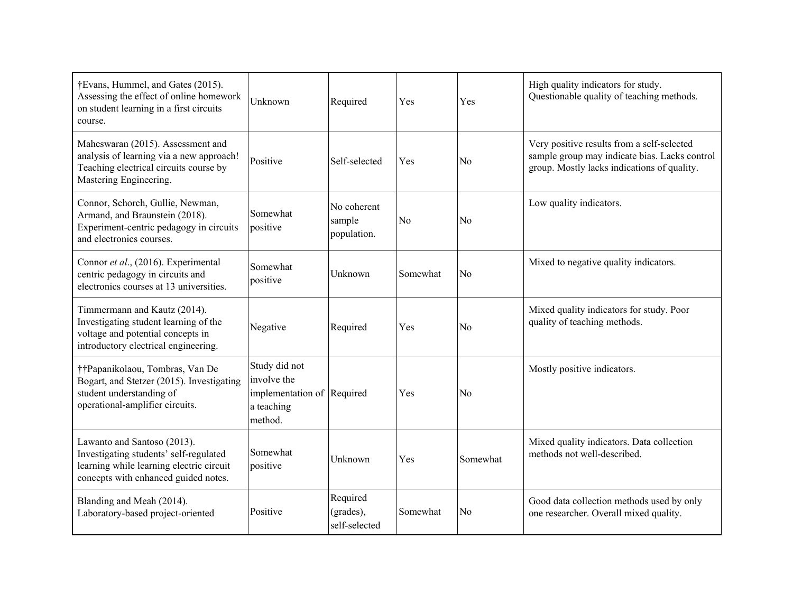| †Evans, Hummel, and Gates (2015).<br>Assessing the effect of online homework<br>on student learning in a first circuits<br>course.                        | <b>Unknown</b>                                                                      | Required                               | Yes      | Yes            | High quality indicators for study.<br>Questionable quality of teaching methods.                                                            |
|-----------------------------------------------------------------------------------------------------------------------------------------------------------|-------------------------------------------------------------------------------------|----------------------------------------|----------|----------------|--------------------------------------------------------------------------------------------------------------------------------------------|
| Maheswaran (2015). Assessment and<br>analysis of learning via a new approach!<br>Teaching electrical circuits course by<br>Mastering Engineering.         | Positive                                                                            | Self-selected                          | Yes      | N <sub>0</sub> | Very positive results from a self-selected<br>sample group may indicate bias. Lacks control<br>group. Mostly lacks indications of quality. |
| Connor, Schorch, Gullie, Newman,<br>Armand, and Braunstein (2018).<br>Experiment-centric pedagogy in circuits<br>and electronics courses.                 | Somewhat<br>positive                                                                | No coherent<br>sample<br>population.   | No       | N <sub>0</sub> | Low quality indicators.                                                                                                                    |
| Connor et al., (2016). Experimental<br>centric pedagogy in circuits and<br>electronics courses at 13 universities.                                        | Somewhat<br>positive                                                                | Unknown                                | Somewhat | N <sub>o</sub> | Mixed to negative quality indicators.                                                                                                      |
| Timmermann and Kautz (2014).<br>Investigating student learning of the<br>voltage and potential concepts in<br>introductory electrical engineering.        | Negative                                                                            | Required                               | Yes      | N <sub>0</sub> | Mixed quality indicators for study. Poor<br>quality of teaching methods.                                                                   |
| ††Papanikolaou, Tombras, Van De<br>Bogart, and Stetzer (2015). Investigating<br>student understanding of<br>operational-amplifier circuits.               | Study did not<br>involve the<br>implementation of Required<br>a teaching<br>method. |                                        | Yes      | No             | Mostly positive indicators.                                                                                                                |
| Lawanto and Santoso (2013).<br>Investigating students' self-regulated<br>learning while learning electric circuit<br>concepts with enhanced guided notes. | Somewhat<br>positive                                                                | Unknown                                | Yes      | Somewhat       | Mixed quality indicators. Data collection<br>methods not well-described.                                                                   |
| Blanding and Meah (2014).<br>Laboratory-based project-oriented                                                                                            | Positive                                                                            | Required<br>(grades),<br>self-selected | Somewhat | N <sub>o</sub> | Good data collection methods used by only<br>one researcher. Overall mixed quality.                                                        |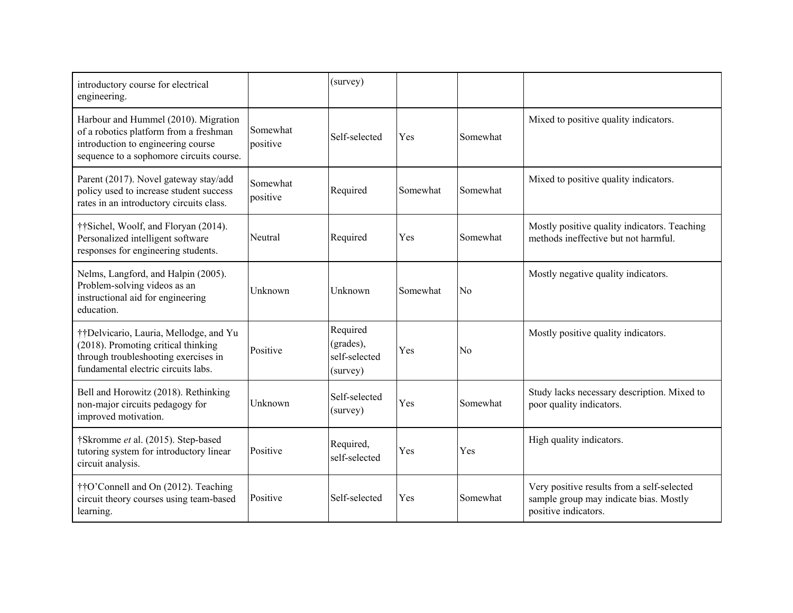| introductory course for electrical<br>engineering.                                                                                                               |                      | (survey)                                           |          |                |                                                                                                              |
|------------------------------------------------------------------------------------------------------------------------------------------------------------------|----------------------|----------------------------------------------------|----------|----------------|--------------------------------------------------------------------------------------------------------------|
| Harbour and Hummel (2010). Migration<br>of a robotics platform from a freshman<br>introduction to engineering course<br>sequence to a sophomore circuits course. | Somewhat<br>positive | Self-selected                                      | Yes      | Somewhat       | Mixed to positive quality indicators.                                                                        |
| Parent (2017). Novel gateway stay/add<br>policy used to increase student success<br>rates in an introductory circuits class.                                     | Somewhat<br>positive | Required                                           | Somewhat | Somewhat       | Mixed to positive quality indicators.                                                                        |
| ††Sichel, Woolf, and Floryan (2014).<br>Personalized intelligent software<br>responses for engineering students.                                                 | Neutral              | Required                                           | Yes      | Somewhat       | Mostly positive quality indicators. Teaching<br>methods ineffective but not harmful.                         |
| Nelms, Langford, and Halpin (2005).<br>Problem-solving videos as an<br>instructional aid for engineering<br>education.                                           | Unknown              | Unknown                                            | Somewhat | No             | Mostly negative quality indicators.                                                                          |
| ††Delvicario, Lauria, Mellodge, and Yu<br>(2018). Promoting critical thinking<br>through troubleshooting exercises in<br>fundamental electric circuits labs.     | Positive             | Required<br>(grades),<br>self-selected<br>(survey) | Yes      | N <sub>0</sub> | Mostly positive quality indicators.                                                                          |
| Bell and Horowitz (2018). Rethinking<br>non-major circuits pedagogy for<br>improved motivation.                                                                  | Unknown              | Self-selected<br>(survey)                          | Yes      | Somewhat       | Study lacks necessary description. Mixed to<br>poor quality indicators.                                      |
| †Skromme et al. (2015). Step-based<br>tutoring system for introductory linear<br>circuit analysis.                                                               | Positive             | Required,<br>self-selected                         | Yes      | Yes            | High quality indicators.                                                                                     |
| ††O'Connell and On (2012). Teaching<br>circuit theory courses using team-based<br>learning.                                                                      | Positive             | Self-selected                                      | Yes      | Somewhat       | Very positive results from a self-selected<br>sample group may indicate bias. Mostly<br>positive indicators. |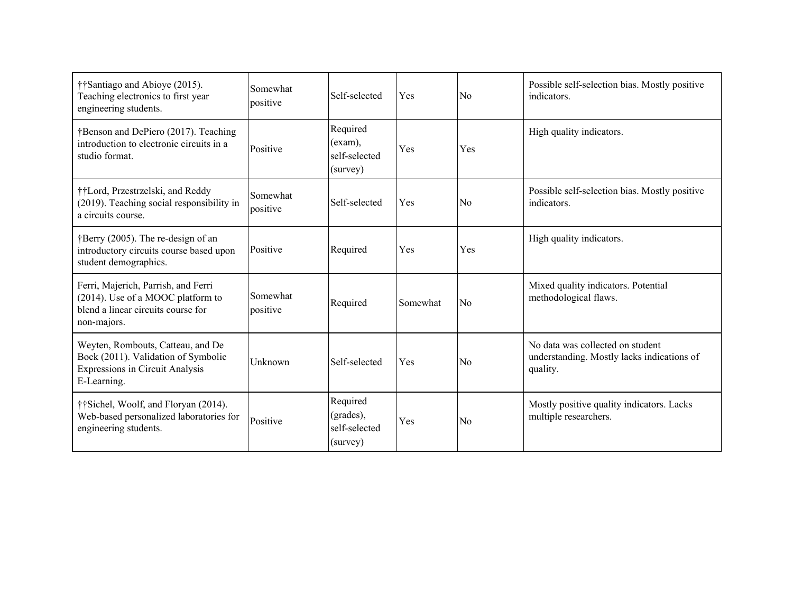| ††Santiago and Abioye (2015).<br>Teaching electronics to first year<br>engineering students.                                      | Somewhat<br>positive | Self-selected                                      | Yes      | N <sub>0</sub> | Possible self-selection bias. Mostly positive<br>indicators.                               |
|-----------------------------------------------------------------------------------------------------------------------------------|----------------------|----------------------------------------------------|----------|----------------|--------------------------------------------------------------------------------------------|
| †Benson and DePiero (2017). Teaching<br>introduction to electronic circuits in a<br>studio format                                 | Positive             | Required<br>(exam),<br>self-selected<br>(survey)   | Yes      | Yes            | High quality indicators.                                                                   |
| ††Lord, Przestrzelski, and Reddy<br>(2019). Teaching social responsibility in<br>a circuits course.                               | Somewhat<br>positive | Self-selected                                      | Yes      | N <sub>0</sub> | Possible self-selection bias. Mostly positive<br>indicators.                               |
| †Berry (2005). The re-design of an<br>introductory circuits course based upon<br>student demographics.                            | Positive             | Required                                           | Yes      | Yes            | High quality indicators.                                                                   |
| Ferri, Majerich, Parrish, and Ferri<br>(2014). Use of a MOOC platform to<br>blend a linear circuits course for<br>non-majors.     | Somewhat<br>positive | Required                                           | Somewhat | N <sub>0</sub> | Mixed quality indicators. Potential<br>methodological flaws.                               |
| Weyten, Rombouts, Catteau, and De<br>Bock (2011). Validation of Symbolic<br><b>Expressions in Circuit Analysis</b><br>E-Learning. | Unknown              | Self-selected                                      | Yes      | No             | No data was collected on student<br>understanding. Mostly lacks indications of<br>quality. |
| ††Sichel, Woolf, and Floryan (2014).<br>Web-based personalized laboratories for<br>engineering students.                          | Positive             | Required<br>(grades),<br>self-selected<br>(survey) | Yes      | N <sub>0</sub> | Mostly positive quality indicators. Lacks<br>multiple researchers.                         |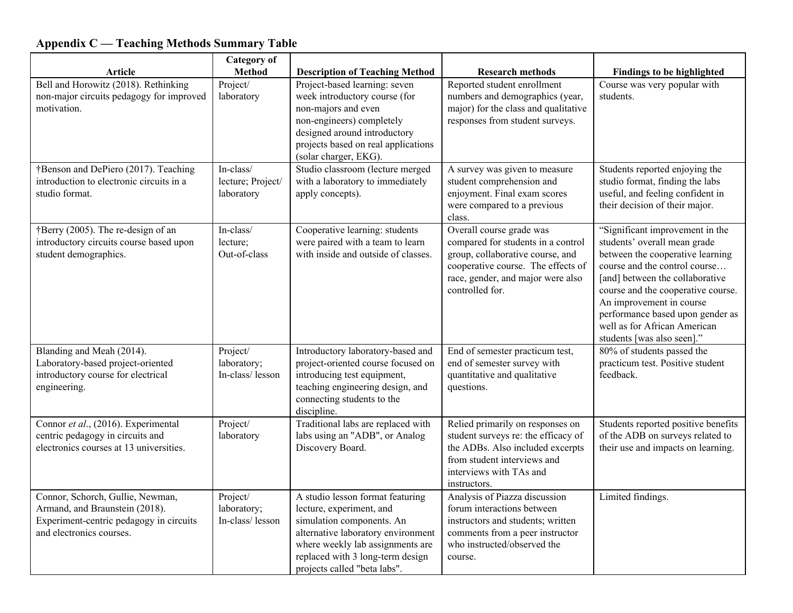# **Appendix C — Teaching Methods Summary Table**

| <b>Article</b>                                                                                                                            | Category of<br><b>Method</b>                 | <b>Description of Teaching Method</b>                                                                                                                                                                                                   | <b>Research methods</b>                                                                                                                                                                          | Findings to be highlighted                                                                                                                                                                                                                                                                                                                  |
|-------------------------------------------------------------------------------------------------------------------------------------------|----------------------------------------------|-----------------------------------------------------------------------------------------------------------------------------------------------------------------------------------------------------------------------------------------|--------------------------------------------------------------------------------------------------------------------------------------------------------------------------------------------------|---------------------------------------------------------------------------------------------------------------------------------------------------------------------------------------------------------------------------------------------------------------------------------------------------------------------------------------------|
| Bell and Horowitz (2018). Rethinking<br>non-major circuits pedagogy for improved<br>motivation.                                           | Project/<br>laboratory                       | Project-based learning: seven<br>week introductory course (for<br>non-majors and even<br>non-engineers) completely<br>designed around introductory<br>projects based on real applications<br>(solar charger, EKG).                      | Reported student enrollment<br>numbers and demographics (year,<br>major) for the class and qualitative<br>responses from student surveys.                                                        | Course was very popular with<br>students.                                                                                                                                                                                                                                                                                                   |
| †Benson and DePiero (2017). Teaching<br>introduction to electronic circuits in a<br>studio format.                                        | In-class/<br>lecture; Project/<br>laboratory | Studio classroom (lecture merged<br>with a laboratory to immediately<br>apply concepts).                                                                                                                                                | A survey was given to measure<br>student comprehension and<br>enjoyment. Final exam scores<br>were compared to a previous<br>class.                                                              | Students reported enjoying the<br>studio format, finding the labs<br>useful, and feeling confident in<br>their decision of their major.                                                                                                                                                                                                     |
| †Berry (2005). The re-design of an<br>introductory circuits course based upon<br>student demographics.                                    | In-class/<br>lecture;<br>Out-of-class        | Cooperative learning: students<br>were paired with a team to learn<br>with inside and outside of classes.                                                                                                                               | Overall course grade was<br>compared for students in a control<br>group, collaborative course, and<br>cooperative course. The effects of<br>race, gender, and major were also<br>controlled for. | "Significant improvement in the<br>students' overall mean grade<br>between the cooperative learning<br>course and the control course<br>[and] between the collaborative<br>course and the cooperative course.<br>An improvement in course<br>performance based upon gender as<br>well as for African American<br>students [was also seen]." |
| Blanding and Meah (2014).<br>Laboratory-based project-oriented<br>introductory course for electrical<br>engineering.                      | Project/<br>laboratory;<br>In-class/lesson   | Introductory laboratory-based and<br>project-oriented course focused on<br>introducing test equipment,<br>teaching engineering design, and<br>connecting students to the<br>discipline.                                                 | End of semester practicum test,<br>end of semester survey with<br>quantitative and qualitative<br>questions.                                                                                     | 80% of students passed the<br>practicum test. Positive student<br>feedback.                                                                                                                                                                                                                                                                 |
| Connor et al., (2016). Experimental<br>centric pedagogy in circuits and<br>electronics courses at 13 universities.                        | Project/<br>laboratory                       | Traditional labs are replaced with<br>labs using an "ADB", or Analog<br>Discovery Board.                                                                                                                                                | Relied primarily on responses on<br>student surveys re: the efficacy of<br>the ADBs. Also included excerpts<br>from student interviews and<br>interviews with TAs and<br>instructors.            | Students reported positive benefits<br>of the ADB on surveys related to<br>their use and impacts on learning.                                                                                                                                                                                                                               |
| Connor, Schorch, Gullie, Newman,<br>Armand, and Braunstein (2018).<br>Experiment-centric pedagogy in circuits<br>and electronics courses. | Project/<br>laboratory;<br>In-class/lesson   | A studio lesson format featuring<br>lecture, experiment, and<br>simulation components. An<br>alternative laboratory environment<br>where weekly lab assignments are<br>replaced with 3 long-term design<br>projects called "beta labs". | Analysis of Piazza discussion<br>forum interactions between<br>instructors and students; written<br>comments from a peer instructor<br>who instructed/observed the<br>course.                    | Limited findings.                                                                                                                                                                                                                                                                                                                           |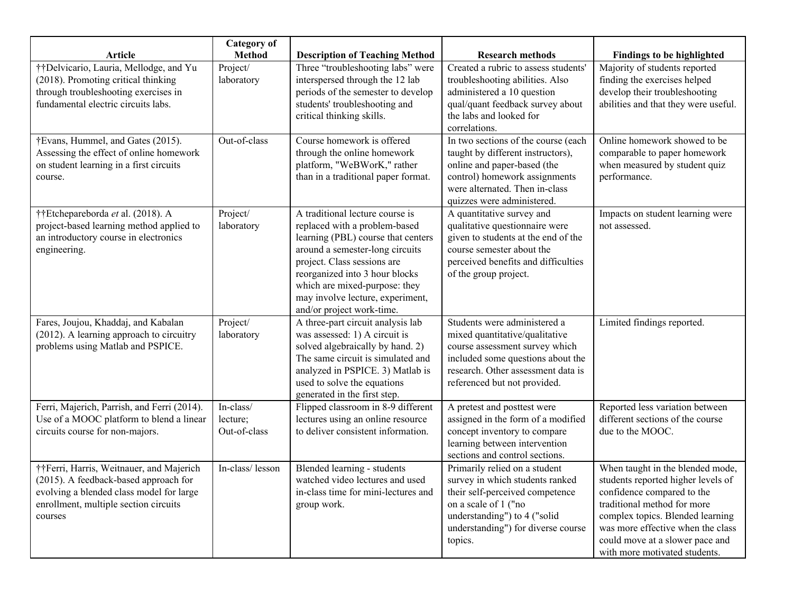| <b>Article</b>                                                                                                                                                                    | <b>Category of</b><br><b>Method</b>   | <b>Description of Teaching Method</b>                                                                                                                                                                                                                                                                        | <b>Research methods</b>                                                                                                                                                                                      | Findings to be highlighted                                                                                                                                                                                                                                                       |
|-----------------------------------------------------------------------------------------------------------------------------------------------------------------------------------|---------------------------------------|--------------------------------------------------------------------------------------------------------------------------------------------------------------------------------------------------------------------------------------------------------------------------------------------------------------|--------------------------------------------------------------------------------------------------------------------------------------------------------------------------------------------------------------|----------------------------------------------------------------------------------------------------------------------------------------------------------------------------------------------------------------------------------------------------------------------------------|
| ††Delvicario, Lauria, Mellodge, and Yu<br>(2018). Promoting critical thinking<br>through troubleshooting exercises in<br>fundamental electric circuits labs.                      | Project/<br>laboratory                | Three "troubleshooting labs" were<br>interspersed through the 12 lab<br>periods of the semester to develop<br>students' troubleshooting and<br>critical thinking skills.                                                                                                                                     | Created a rubric to assess students'<br>troubleshooting abilities. Also<br>administered a 10 question<br>qual/quant feedback survey about<br>the labs and looked for<br>correlations.                        | Majority of students reported<br>finding the exercises helped<br>develop their troubleshooting<br>abilities and that they were useful.                                                                                                                                           |
| †Evans, Hummel, and Gates (2015).<br>Assessing the effect of online homework<br>on student learning in a first circuits<br>course.                                                | Out-of-class                          | Course homework is offered<br>through the online homework<br>platform, "WeBWorK," rather<br>than in a traditional paper format.                                                                                                                                                                              | In two sections of the course (each<br>taught by different instructors),<br>online and paper-based (the<br>control) homework assignments<br>were alternated. Then in-class<br>quizzes were administered.     | Online homework showed to be<br>comparable to paper homework<br>when measured by student quiz<br>performance.                                                                                                                                                                    |
| ††Etchepareborda et al. (2018). A<br>project-based learning method applied to<br>an introductory course in electronics<br>engineering.                                            | Project/<br>laboratory                | A traditional lecture course is<br>replaced with a problem-based<br>learning (PBL) course that centers<br>around a semester-long circuits<br>project. Class sessions are<br>reorganized into 3 hour blocks<br>which are mixed-purpose: they<br>may involve lecture, experiment,<br>and/or project work-time. | A quantitative survey and<br>qualitative questionnaire were<br>given to students at the end of the<br>course semester about the<br>perceived benefits and difficulties<br>of the group project.              | Impacts on student learning were<br>not assessed.                                                                                                                                                                                                                                |
| Fares, Joujou, Khaddaj, and Kabalan<br>(2012). A learning approach to circuitry<br>problems using Matlab and PSPICE.                                                              | Project/<br>laboratory                | A three-part circuit analysis lab<br>was assessed: 1) A circuit is<br>solved algebraically by hand. 2)<br>The same circuit is simulated and<br>analyzed in PSPICE. 3) Matlab is<br>used to solve the equations<br>generated in the first step.                                                               | Students were administered a<br>mixed quantitative/qualitative<br>course assessment survey which<br>included some questions about the<br>research. Other assessment data is<br>referenced but not provided.  | Limited findings reported.                                                                                                                                                                                                                                                       |
| Ferri, Majerich, Parrish, and Ferri (2014).<br>Use of a MOOC platform to blend a linear<br>circuits course for non-majors.                                                        | In-class/<br>lecture;<br>Out-of-class | Flipped classroom in 8-9 different<br>lectures using an online resource<br>to deliver consistent information.                                                                                                                                                                                                | A pretest and posttest were<br>assigned in the form of a modified<br>concept inventory to compare<br>learning between intervention<br>sections and control sections.                                         | Reported less variation between<br>different sections of the course<br>due to the MOOC.                                                                                                                                                                                          |
| ††Ferri, Harris, Weitnauer, and Majerich<br>(2015). A feedback-based approach for<br>evolving a blended class model for large<br>enrollment, multiple section circuits<br>courses | In-class/lesson                       | Blended learning - students<br>watched video lectures and used<br>in-class time for mini-lectures and<br>group work.                                                                                                                                                                                         | Primarily relied on a student<br>survey in which students ranked<br>their self-perceived competence<br>on a scale of 1 ("no<br>understanding") to 4 ("solid<br>understanding") for diverse course<br>topics. | When taught in the blended mode,<br>students reported higher levels of<br>confidence compared to the<br>traditional method for more<br>complex topics. Blended learning<br>was more effective when the class<br>could move at a slower pace and<br>with more motivated students. |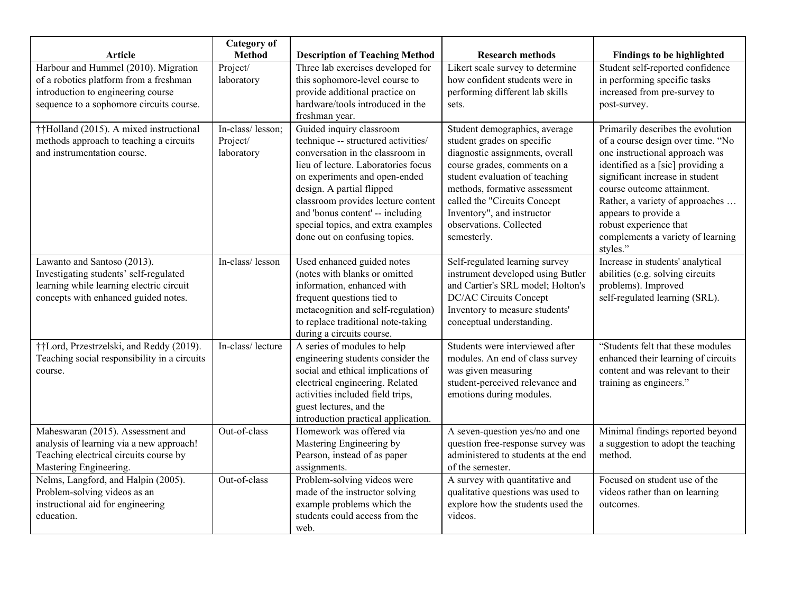| <b>Article</b>                                                                                                                                                   | <b>Category</b> of<br><b>Method</b>        | <b>Description of Teaching Method</b>                                                                                                                                                                                                                                                                                                                     | <b>Research methods</b>                                                                                                                                                                                                                                                                                   | Findings to be highlighted                                                                                                                                                                                                                                                                                                                           |
|------------------------------------------------------------------------------------------------------------------------------------------------------------------|--------------------------------------------|-----------------------------------------------------------------------------------------------------------------------------------------------------------------------------------------------------------------------------------------------------------------------------------------------------------------------------------------------------------|-----------------------------------------------------------------------------------------------------------------------------------------------------------------------------------------------------------------------------------------------------------------------------------------------------------|------------------------------------------------------------------------------------------------------------------------------------------------------------------------------------------------------------------------------------------------------------------------------------------------------------------------------------------------------|
| Harbour and Hummel (2010). Migration<br>of a robotics platform from a freshman<br>introduction to engineering course<br>sequence to a sophomore circuits course. | Project/<br>laboratory                     | Three lab exercises developed for<br>this sophomore-level course to<br>provide additional practice on<br>hardware/tools introduced in the<br>freshman year.                                                                                                                                                                                               | Likert scale survey to determine<br>how confident students were in<br>performing different lab skills<br>sets.                                                                                                                                                                                            | Student self-reported confidence<br>in performing specific tasks<br>increased from pre-survey to<br>post-survey.                                                                                                                                                                                                                                     |
| ††Holland (2015). A mixed instructional<br>methods approach to teaching a circuits<br>and instrumentation course.                                                | In-class/lesson;<br>Project/<br>laboratory | Guided inquiry classroom<br>technique -- structured activities/<br>conversation in the classroom in<br>lieu of lecture. Laboratories focus<br>on experiments and open-ended<br>design. A partial flipped<br>classroom provides lecture content<br>and 'bonus content' -- including<br>special topics, and extra examples<br>done out on confusing topics. | Student demographics, average<br>student grades on specific<br>diagnostic assignments, overall<br>course grades, comments on a<br>student evaluation of teaching<br>methods, formative assessment<br>called the "Circuits Concept<br>Inventory", and instructor<br>observations. Collected<br>semesterly. | Primarily describes the evolution<br>of a course design over time. "No<br>one instructional approach was<br>identified as a [sic] providing a<br>significant increase in student<br>course outcome attainment.<br>Rather, a variety of approaches<br>appears to provide a<br>robust experience that<br>complements a variety of learning<br>styles." |
| Lawanto and Santoso (2013).<br>Investigating students' self-regulated<br>learning while learning electric circuit<br>concepts with enhanced guided notes.        | In-class/lesson                            | Used enhanced guided notes<br>(notes with blanks or omitted<br>information, enhanced with<br>frequent questions tied to<br>metacognition and self-regulation)<br>to replace traditional note-taking<br>during a circuits course.                                                                                                                          | Self-regulated learning survey<br>instrument developed using Butler<br>and Cartier's SRL model; Holton's<br>DC/AC Circuits Concept<br>Inventory to measure students'<br>conceptual understanding.                                                                                                         | Increase in students' analytical<br>abilities (e.g. solving circuits<br>problems). Improved<br>self-regulated learning (SRL).                                                                                                                                                                                                                        |
| ††Lord, Przestrzelski, and Reddy (2019).<br>Teaching social responsibility in a circuits<br>course.                                                              | In-class/lecture                           | A series of modules to help<br>engineering students consider the<br>social and ethical implications of<br>electrical engineering. Related<br>activities included field trips,<br>guest lectures, and the<br>introduction practical application.                                                                                                           | Students were interviewed after<br>modules. An end of class survey<br>was given measuring<br>student-perceived relevance and<br>emotions during modules.                                                                                                                                                  | "Students felt that these modules<br>enhanced their learning of circuits<br>content and was relevant to their<br>training as engineers."                                                                                                                                                                                                             |
| Maheswaran (2015). Assessment and<br>analysis of learning via a new approach!<br>Teaching electrical circuits course by<br>Mastering Engineering.                | Out-of-class                               | Homework was offered via<br>Mastering Engineering by<br>Pearson, instead of as paper<br>assignments.                                                                                                                                                                                                                                                      | A seven-question yes/no and one<br>question free-response survey was<br>administered to students at the end<br>of the semester.                                                                                                                                                                           | Minimal findings reported beyond<br>a suggestion to adopt the teaching<br>method.                                                                                                                                                                                                                                                                    |
| Nelms, Langford, and Halpin (2005).<br>Problem-solving videos as an<br>instructional aid for engineering<br>education.                                           | Out-of-class                               | Problem-solving videos were<br>made of the instructor solving<br>example problems which the<br>students could access from the<br>web.                                                                                                                                                                                                                     | A survey with quantitative and<br>qualitative questions was used to<br>explore how the students used the<br>videos.                                                                                                                                                                                       | Focused on student use of the<br>videos rather than on learning<br>outcomes.                                                                                                                                                                                                                                                                         |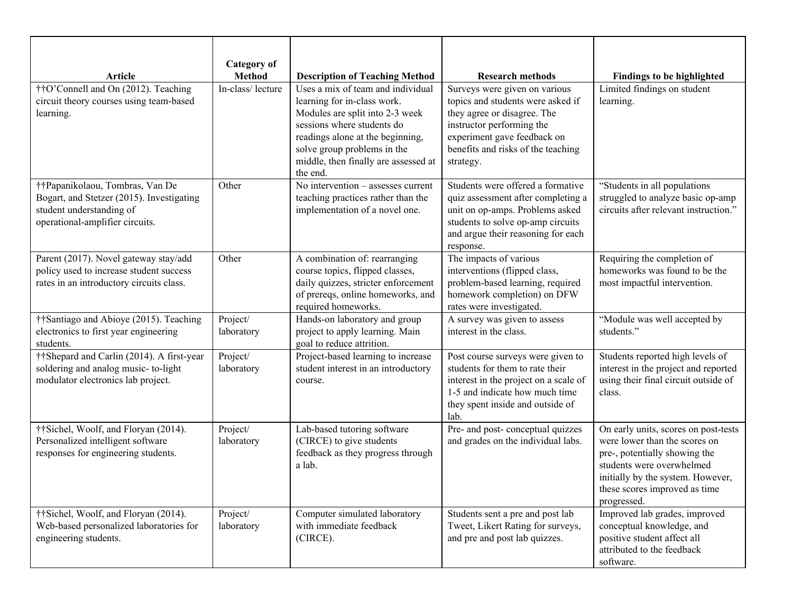| Article                                                                                                                                     | <b>Category of</b><br><b>Method</b> | <b>Description of Teaching Method</b>                                                                                                                                                                                                                    | <b>Research methods</b>                                                                                                                                                                                          | Findings to be highlighted                                                                                                                                                                                               |
|---------------------------------------------------------------------------------------------------------------------------------------------|-------------------------------------|----------------------------------------------------------------------------------------------------------------------------------------------------------------------------------------------------------------------------------------------------------|------------------------------------------------------------------------------------------------------------------------------------------------------------------------------------------------------------------|--------------------------------------------------------------------------------------------------------------------------------------------------------------------------------------------------------------------------|
| ††O'Connell and On (2012). Teaching<br>circuit theory courses using team-based<br>learning.                                                 | In-class/lecture                    | Uses a mix of team and individual<br>learning for in-class work.<br>Modules are split into 2-3 week<br>sessions where students do<br>readings alone at the beginning,<br>solve group problems in the<br>middle, then finally are assessed at<br>the end. | Surveys were given on various<br>topics and students were asked if<br>they agree or disagree. The<br>instructor performing the<br>experiment gave feedback on<br>benefits and risks of the teaching<br>strategy. | Limited findings on student<br>learning.                                                                                                                                                                                 |
| ††Papanikolaou, Tombras, Van De<br>Bogart, and Stetzer (2015). Investigating<br>student understanding of<br>operational-amplifier circuits. | Other                               | No intervention – assesses current<br>teaching practices rather than the<br>implementation of a novel one.                                                                                                                                               | Students were offered a formative<br>quiz assessment after completing a<br>unit on op-amps. Problems asked<br>students to solve op-amp circuits<br>and argue their reasoning for each<br>response.               | "Students in all populations<br>struggled to analyze basic op-amp<br>circuits after relevant instruction."                                                                                                               |
| Parent (2017). Novel gateway stay/add<br>policy used to increase student success<br>rates in an introductory circuits class.                | Other                               | A combination of: rearranging<br>course topics, flipped classes,<br>daily quizzes, stricter enforcement<br>of prereqs, online homeworks, and<br>required homeworks.                                                                                      | The impacts of various<br>interventions (flipped class,<br>problem-based learning, required<br>homework completion) on DFW<br>rates were investigated.                                                           | Requiring the completion of<br>homeworks was found to be the<br>most impactful intervention.                                                                                                                             |
| ††Santiago and Abioye (2015). Teaching<br>electronics to first year engineering<br>students.                                                | Project/<br>laboratory              | Hands-on laboratory and group<br>project to apply learning. Main<br>goal to reduce attrition.                                                                                                                                                            | A survey was given to assess<br>interest in the class.                                                                                                                                                           | "Module was well accepted by<br>students."                                                                                                                                                                               |
| ††Shepard and Carlin (2014). A first-year<br>soldering and analog music- to-light<br>modulator electronics lab project.                     | Project/<br>laboratory              | Project-based learning to increase<br>student interest in an introductory<br>course.                                                                                                                                                                     | Post course surveys were given to<br>students for them to rate their<br>interest in the project on a scale of<br>1-5 and indicate how much time<br>they spent inside and outside of<br>lab.                      | Students reported high levels of<br>interest in the project and reported<br>using their final circuit outside of<br>class.                                                                                               |
| ††Sichel, Woolf, and Floryan (2014).<br>Personalized intelligent software<br>responses for engineering students.                            | Project/<br>laboratory              | Lab-based tutoring software<br>(CIRCE) to give students<br>feedback as they progress through<br>a lab.                                                                                                                                                   | Pre- and post- conceptual quizzes<br>and grades on the individual labs.                                                                                                                                          | On early units, scores on post-tests<br>were lower than the scores on<br>pre-, potentially showing the<br>students were overwhelmed<br>initially by the system. However,<br>these scores improved as time<br>progressed. |
| ††Sichel, Woolf, and Floryan (2014).<br>Web-based personalized laboratories for<br>engineering students.                                    | Project/<br>laboratory              | Computer simulated laboratory<br>with immediate feedback<br>(CIRCE).                                                                                                                                                                                     | Students sent a pre and post lab<br>Tweet, Likert Rating for surveys,<br>and pre and post lab quizzes.                                                                                                           | Improved lab grades, improved<br>conceptual knowledge, and<br>positive student affect all<br>attributed to the feedback<br>software.                                                                                     |